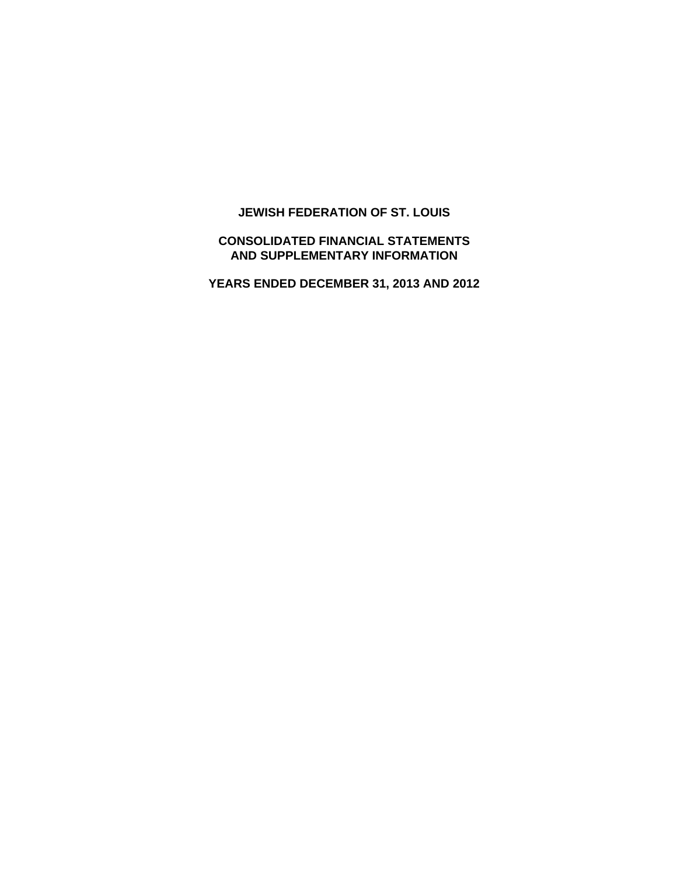# **JEWISH FEDERATION OF ST. LOUIS**

### **CONSOLIDATED FINANCIAL STATEMENTS AND SUPPLEMENTARY INFORMATION**

**YEARS ENDED DECEMBER 31, 2013 AND 2012**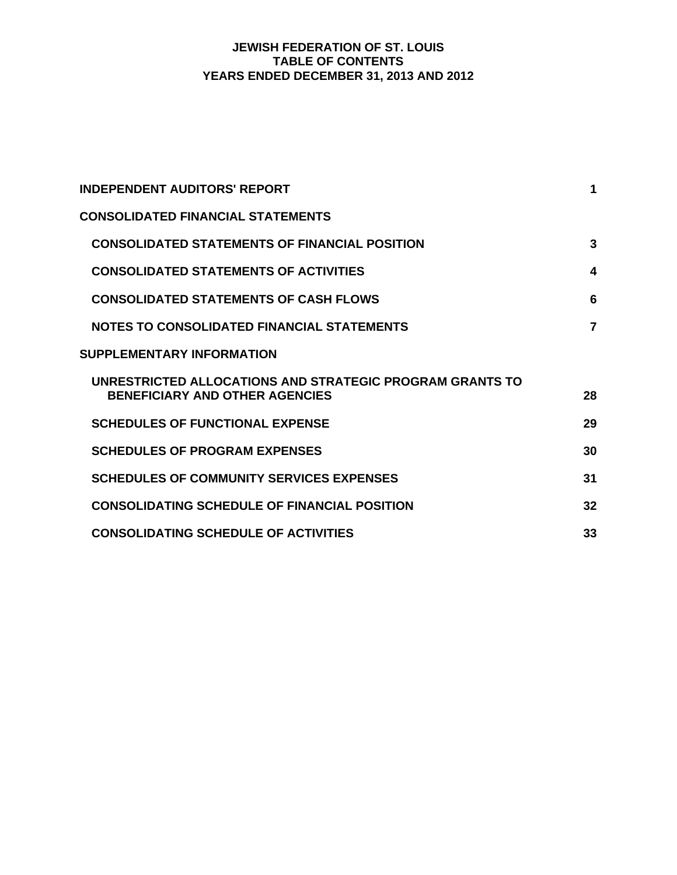# **JEWISH FEDERATION OF ST. LOUIS TABLE OF CONTENTS YEARS ENDED DECEMBER 31, 2013 AND 2012**

| <b>INDEPENDENT AUDITORS' REPORT</b>                                                               | 1  |
|---------------------------------------------------------------------------------------------------|----|
| <b>CONSOLIDATED FINANCIAL STATEMENTS</b>                                                          |    |
| <b>CONSOLIDATED STATEMENTS OF FINANCIAL POSITION</b>                                              | 3  |
| <b>CONSOLIDATED STATEMENTS OF ACTIVITIES</b>                                                      | 4  |
| <b>CONSOLIDATED STATEMENTS OF CASH FLOWS</b>                                                      | 6  |
| NOTES TO CONSOLIDATED FINANCIAL STATEMENTS                                                        | 7  |
| <b>SUPPLEMENTARY INFORMATION</b>                                                                  |    |
| UNRESTRICTED ALLOCATIONS AND STRATEGIC PROGRAM GRANTS TO<br><b>BENEFICIARY AND OTHER AGENCIES</b> | 28 |
| <b>SCHEDULES OF FUNCTIONAL EXPENSE</b>                                                            | 29 |
| <b>SCHEDULES OF PROGRAM EXPENSES</b>                                                              | 30 |
| <b>SCHEDULES OF COMMUNITY SERVICES EXPENSES</b>                                                   | 31 |
| <b>CONSOLIDATING SCHEDULE OF FINANCIAL POSITION</b>                                               | 32 |
| <b>CONSOLIDATING SCHEDULE OF ACTIVITIES</b>                                                       | 33 |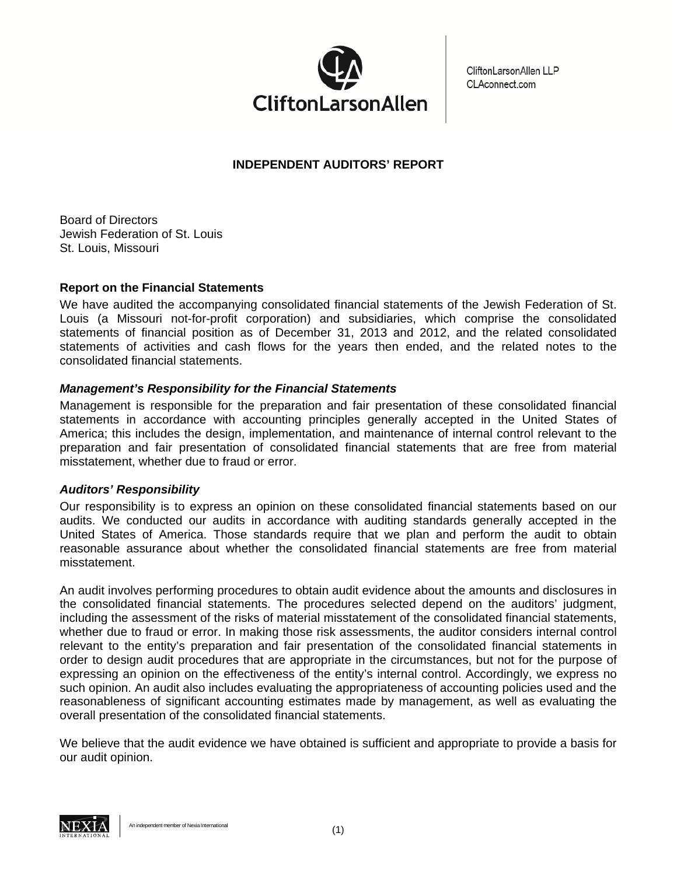

CliftonLarsonAllen LLP CLAconnect.com

# **INDEPENDENT AUDITORS' REPORT**

Board of Directors Jewish Federation of St. Louis St. Louis, Missouri

### **Report on the Financial Statements**

We have audited the accompanying consolidated financial statements of the Jewish Federation of St. Louis (a Missouri not-for-profit corporation) and subsidiaries, which comprise the consolidated statements of financial position as of December 31, 2013 and 2012, and the related consolidated statements of activities and cash flows for the years then ended, and the related notes to the consolidated financial statements.

### *Management's Responsibility for the Financial Statements*

Management is responsible for the preparation and fair presentation of these consolidated financial statements in accordance with accounting principles generally accepted in the United States of America; this includes the design, implementation, and maintenance of internal control relevant to the preparation and fair presentation of consolidated financial statements that are free from material misstatement, whether due to fraud or error.

#### *Auditors' Responsibility*

Our responsibility is to express an opinion on these consolidated financial statements based on our audits. We conducted our audits in accordance with auditing standards generally accepted in the United States of America. Those standards require that we plan and perform the audit to obtain reasonable assurance about whether the consolidated financial statements are free from material misstatement.

An audit involves performing procedures to obtain audit evidence about the amounts and disclosures in the consolidated financial statements. The procedures selected depend on the auditors' judgment, including the assessment of the risks of material misstatement of the consolidated financial statements, whether due to fraud or error. In making those risk assessments, the auditor considers internal control relevant to the entity's preparation and fair presentation of the consolidated financial statements in order to design audit procedures that are appropriate in the circumstances, but not for the purpose of expressing an opinion on the effectiveness of the entity's internal control. Accordingly, we express no such opinion. An audit also includes evaluating the appropriateness of accounting policies used and the reasonableness of significant accounting estimates made by management, as well as evaluating the overall presentation of the consolidated financial statements.

We believe that the audit evidence we have obtained is sufficient and appropriate to provide a basis for our audit opinion.

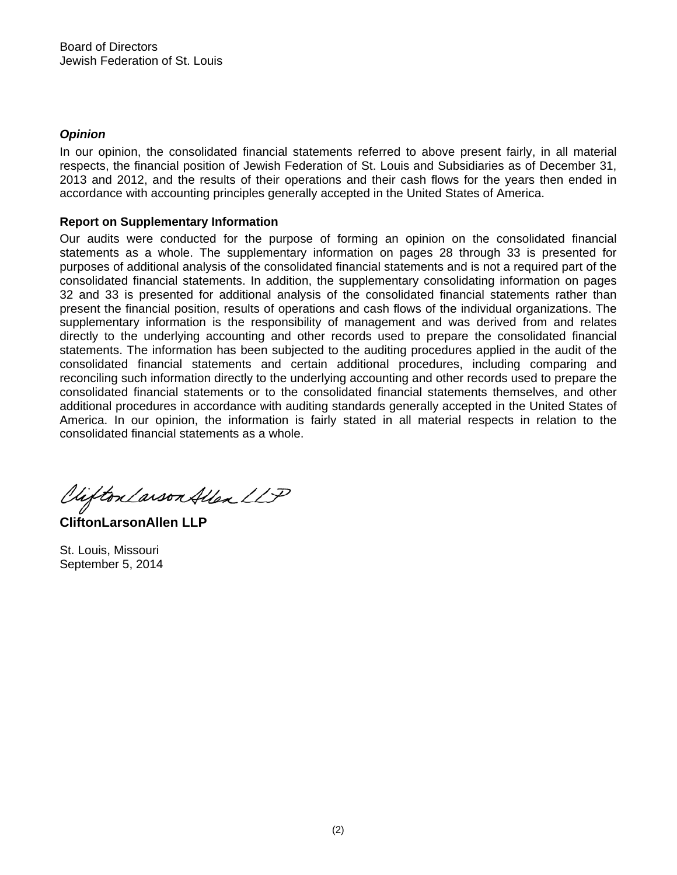## *Opinion*

In our opinion, the consolidated financial statements referred to above present fairly, in all material respects, the financial position of Jewish Federation of St. Louis and Subsidiaries as of December 31, 2013 and 2012, and the results of their operations and their cash flows for the years then ended in accordance with accounting principles generally accepted in the United States of America.

### **Report on Supplementary Information**

Our audits were conducted for the purpose of forming an opinion on the consolidated financial statements as a whole. The supplementary information on pages 28 through 33 is presented for purposes of additional analysis of the consolidated financial statements and is not a required part of the consolidated financial statements. In addition, the supplementary consolidating information on pages 32 and 33 is presented for additional analysis of the consolidated financial statements rather than present the financial position, results of operations and cash flows of the individual organizations. The supplementary information is the responsibility of management and was derived from and relates directly to the underlying accounting and other records used to prepare the consolidated financial statements. The information has been subjected to the auditing procedures applied in the audit of the consolidated financial statements and certain additional procedures, including comparing and reconciling such information directly to the underlying accounting and other records used to prepare the consolidated financial statements or to the consolidated financial statements themselves, and other additional procedures in accordance with auditing standards generally accepted in the United States of America. In our opinion, the information is fairly stated in all material respects in relation to the consolidated financial statements as a whole.

Clifton Larson Allen LLP

**CliftonLarsonAllen LLP** 

St. Louis, Missouri September 5, 2014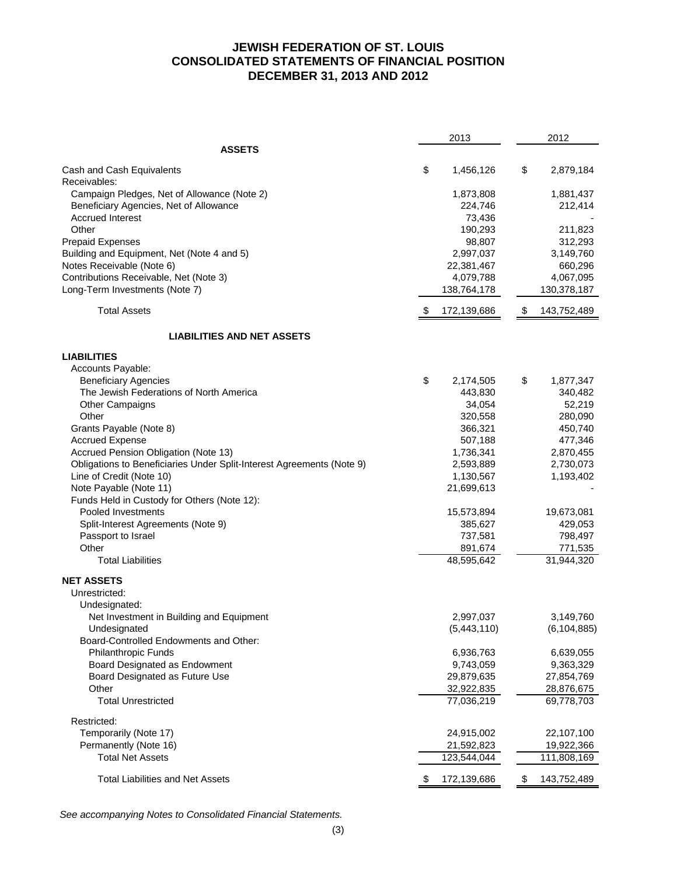# **JEWISH FEDERATION OF ST. LOUIS CONSOLIDATED STATEMENTS OF FINANCIAL POSITION DECEMBER 31, 2013 AND 2012**

|                                                                       | 2013              | 2012              |
|-----------------------------------------------------------------------|-------------------|-------------------|
| ASSETS                                                                |                   |                   |
| Cash and Cash Equivalents                                             | \$<br>1,456,126   | \$<br>2,879,184   |
| Receivables:                                                          |                   |                   |
| Campaign Pledges, Net of Allowance (Note 2)                           | 1,873,808         | 1,881,437         |
| Beneficiary Agencies, Net of Allowance                                | 224,746           | 212,414           |
| <b>Accrued Interest</b>                                               | 73,436            |                   |
| Other                                                                 | 190,293           | 211,823           |
| <b>Prepaid Expenses</b>                                               | 98,807            | 312,293           |
| Building and Equipment, Net (Note 4 and 5)                            | 2,997,037         | 3,149,760         |
| Notes Receivable (Note 6)                                             | 22,381,467        | 660,296           |
| Contributions Receivable, Net (Note 3)                                | 4,079,788         | 4,067,095         |
| Long-Term Investments (Note 7)                                        | 138,764,178       | 130,378,187       |
| <b>Total Assets</b>                                                   | \$<br>172,139,686 | \$<br>143,752,489 |
| <b>LIABILITIES AND NET ASSETS</b>                                     |                   |                   |
| <b>LIABILITIES</b>                                                    |                   |                   |
| Accounts Payable:                                                     |                   |                   |
| <b>Beneficiary Agencies</b>                                           | \$<br>2,174,505   | \$<br>1,877,347   |
| The Jewish Federations of North America                               | 443,830           | 340,482           |
| Other Campaigns                                                       | 34,054            | 52,219            |
| Other                                                                 | 320,558           | 280,090           |
| Grants Payable (Note 8)                                               | 366,321           | 450,740           |
| <b>Accrued Expense</b>                                                | 507,188           | 477,346           |
| Accrued Pension Obligation (Note 13)                                  | 1,736,341         | 2,870,455         |
| Obligations to Beneficiaries Under Split-Interest Agreements (Note 9) | 2,593,889         | 2,730,073         |
| Line of Credit (Note 10)                                              | 1,130,567         | 1,193,402         |
| Note Payable (Note 11)                                                | 21,699,613        |                   |
| Funds Held in Custody for Others (Note 12):                           |                   |                   |
| Pooled Investments                                                    | 15,573,894        | 19,673,081        |
| Split-Interest Agreements (Note 9)                                    | 385,627           | 429,053           |
| Passport to Israel                                                    | 737,581           | 798,497           |
| Other                                                                 | 891,674           | 771,535           |
| <b>Total Liabilities</b>                                              | 48,595,642        | 31,944,320        |
| <b>NET ASSETS</b>                                                     |                   |                   |
| Unrestricted:                                                         |                   |                   |
| Undesignated:                                                         |                   |                   |
| Net Investment in Building and Equipment                              | 2,997,037         | 3,149,760         |
| Undesignated                                                          | (5,443,110)       | (6, 104, 885)     |
| Board-Controlled Endowments and Other:                                |                   |                   |
| Philanthropic Funds                                                   | 6,936,763         | 6,639,055         |
| Board Designated as Endowment                                         | 9,743,059         | 9,363,329         |
| Board Designated as Future Use                                        | 29,879,635        | 27,854,769        |
| Other                                                                 | 32,922,835        | 28,876,675        |
| <b>Total Unrestricted</b>                                             | 77,036,219        | 69,778,703        |
| Restricted:                                                           |                   |                   |
| Temporarily (Note 17)                                                 | 24,915,002        | 22,107,100        |
| Permanently (Note 16)                                                 | 21,592,823        | 19,922,366        |
| <b>Total Net Assets</b>                                               | 123,544,044       | 111,808,169       |
| <b>Total Liabilities and Net Assets</b>                               | \$<br>172,139,686 | \$<br>143,752,489 |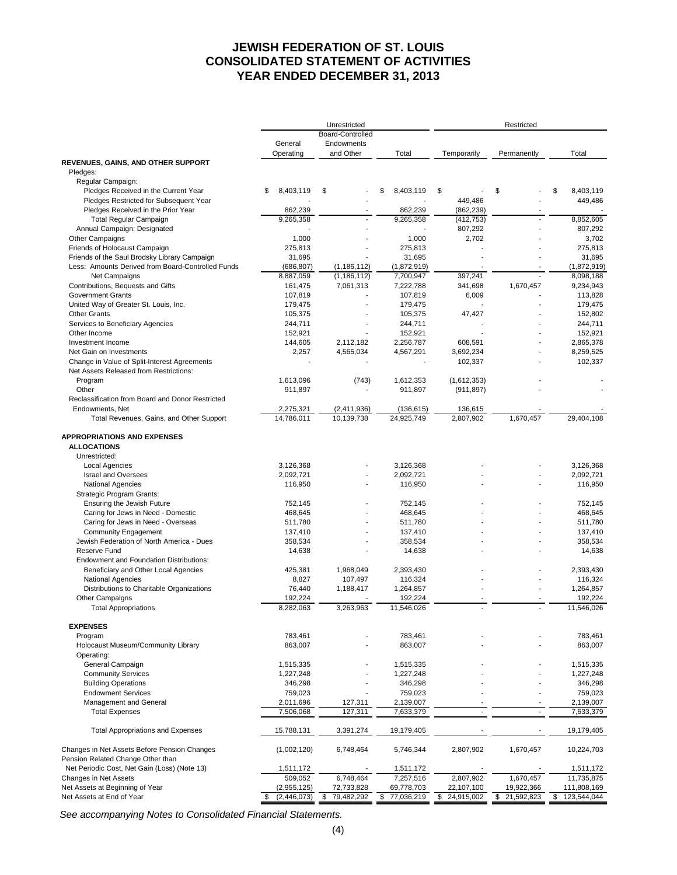# **JEWISH FEDERATION OF ST. LOUIS CONSOLIDATED STATEMENT OF ACTIVITIES YEAR ENDED DECEMBER 31, 2013**

|                                                                           |                  | Unrestricted     |                 |               | Restricted   |                   |
|---------------------------------------------------------------------------|------------------|------------------|-----------------|---------------|--------------|-------------------|
|                                                                           |                  | Board-Controlled |                 |               |              |                   |
|                                                                           | General          | Endowments       |                 |               |              |                   |
|                                                                           | Operating        | and Other        | Total           | Temporarily   | Permanently  | Total             |
| REVENUES, GAINS, AND OTHER SUPPORT                                        |                  |                  |                 |               |              |                   |
|                                                                           |                  |                  |                 |               |              |                   |
| Pledges:                                                                  |                  |                  |                 |               |              |                   |
| Regular Campaign:                                                         |                  |                  |                 |               |              |                   |
| Pledges Received in the Current Year                                      | \$<br>8,403,119  | \$               | \$<br>8,403,119 | \$            | \$           | \$<br>8,403,119   |
| Pledges Restricted for Subsequent Year                                    |                  |                  |                 | 449,486       |              | 449,486           |
| Pledges Received in the Prior Year                                        | 862,239          |                  | 862,239         | (862, 239)    |              |                   |
| <b>Total Regular Campaign</b>                                             | 9,265,358        |                  | 9,265,358       | (412, 753)    |              | 8,852,605         |
|                                                                           |                  |                  |                 |               |              |                   |
| Annual Campaign: Designated                                               |                  |                  |                 | 807,292       |              | 807,292           |
| Other Campaigns                                                           | 1,000            |                  | 1,000           | 2,702         |              | 3,702             |
| Friends of Holocaust Campaign                                             | 275,813          |                  | 275,813         |               |              | 275,813           |
| Friends of the Saul Brodsky Library Campaign                              | 31,695           |                  | 31,695          |               |              | 31,695            |
| Less: Amounts Derived from Board-Controlled Funds                         | (686, 807)       | (1, 186, 112)    | (1,872,919)     |               |              | (1,872,919)       |
|                                                                           |                  |                  |                 | 397,241       |              |                   |
| Net Campaigns                                                             | 8,887,059        | (1, 186, 112)    | 7,700,947       |               |              | 8,098,188         |
| Contributions, Bequests and Gifts                                         | 161,475          | 7,061,313        | 7,222,788       | 341,698       | 1,670,457    | 9,234,943         |
| <b>Government Grants</b>                                                  | 107,819          |                  | 107,819         | 6,009         |              | 113,828           |
| United Way of Greater St. Louis, Inc.                                     | 179,475          |                  | 179,475         |               |              | 179,475           |
| <b>Other Grants</b>                                                       | 105,375          |                  | 105,375         | 47,427        |              | 152,802           |
|                                                                           |                  |                  |                 |               |              |                   |
| Services to Beneficiary Agencies                                          | 244,711          |                  | 244,711         |               |              | 244,711           |
| Other Income                                                              | 152,921          |                  | 152,921         |               |              | 152,921           |
| Investment Income                                                         | 144,605          | 2,112,182        | 2,256,787       | 608,591       |              | 2,865,378         |
| Net Gain on Investments                                                   | 2,257            | 4,565,034        | 4,567,291       | 3,692,234     |              | 8,259,525         |
| Change in Value of Split-Interest Agreements                              |                  |                  |                 | 102,337       |              | 102,337           |
|                                                                           |                  |                  |                 |               |              |                   |
| Net Assets Released from Restrictions:                                    |                  |                  |                 |               |              |                   |
| Program                                                                   | 1,613,096        | (743)            | 1,612,353       | (1,612,353)   |              |                   |
| Other                                                                     | 911,897          |                  | 911,897         | (911, 897)    |              |                   |
| Reclassification from Board and Donor Restricted                          |                  |                  |                 |               |              |                   |
| Endowments, Net                                                           | 2,275,321        | (2,411,936)      | (136, 615)      | 136,615       |              |                   |
|                                                                           |                  |                  |                 |               |              |                   |
| Total Revenues, Gains, and Other Support                                  | 14,786,011       | 10.139.738       | 24,925,749      | 2,807,902     | 1,670,457    | 29.404.108        |
| <b>APPROPRIATIONS AND EXPENSES</b><br><b>ALLOCATIONS</b><br>Unrestricted: |                  |                  |                 |               |              |                   |
| Local Agencies                                                            | 3,126,368        |                  | 3,126,368       |               |              | 3,126,368         |
| <b>Israel and Oversees</b>                                                | 2,092,721        |                  | 2,092,721       |               |              | 2,092,721         |
| National Agencies                                                         | 116,950          |                  | 116,950         |               |              | 116,950           |
|                                                                           |                  |                  |                 |               |              |                   |
| Strategic Program Grants:                                                 |                  |                  |                 |               |              |                   |
| Ensuring the Jewish Future                                                | 752,145          |                  | 752,145         |               |              | 752,145           |
| Caring for Jews in Need - Domestic                                        | 468,645          |                  | 468,645         |               |              | 468,645           |
| Caring for Jews in Need - Overseas                                        | 511,780          |                  | 511,780         |               |              | 511,780           |
| <b>Community Engagement</b>                                               | 137,410          |                  | 137,410         |               |              | 137,410           |
| Jewish Federation of North America - Dues                                 |                  |                  | 358,534         |               |              | 358,534           |
|                                                                           | 358,534          |                  |                 |               |              |                   |
| Reserve Fund                                                              | 14,638           |                  | 14,638          |               |              | 14,638            |
| <b>Endowment and Foundation Distributions:</b>                            |                  |                  |                 |               |              |                   |
| Beneficiary and Other Local Agencies                                      | 425,381          | 1,968,049        | 2,393,430       |               |              | 2,393,430         |
| National Agencies                                                         | 8,827            | 107,497          | 116,324         |               |              | 116,324           |
| Distributions to Charitable Organizations                                 | 76,440           | 1,188,417        | 1,264,857       |               |              | 1,264,857         |
|                                                                           |                  |                  |                 |               |              |                   |
| <b>Other Campaigns</b>                                                    | 192,224          |                  | 192,224         |               |              | 192,224           |
| <b>Total Appropriations</b>                                               | 8,282,063        | 3,263,963        | 11,546,026      |               |              | 11,546,026        |
|                                                                           |                  |                  |                 |               |              |                   |
| <b>EXPENSES</b>                                                           |                  |                  |                 |               |              |                   |
| Program                                                                   | 783,461          |                  | 783,461         |               |              | 783,461           |
|                                                                           |                  |                  |                 |               |              |                   |
| Holocaust Museum/Community Library                                        | 863,007          |                  | 863,007         |               |              | 863,007           |
| Operating:                                                                |                  |                  |                 |               |              |                   |
| General Campaign                                                          | 1,515,335        |                  | 1,515,335       |               |              | 1,515,335         |
| <b>Community Services</b>                                                 | 1,227,248        |                  | 1,227,248       |               |              | 1,227,248         |
| <b>Building Operations</b>                                                | 346,298          |                  | 346,298         |               |              | 346,298           |
|                                                                           |                  |                  |                 |               |              |                   |
| <b>Endowment Services</b>                                                 | 759,023          |                  | 759,023         |               |              | 759,023           |
| Management and General                                                    | 2,011,696        | 127,311          | 2,139,007       |               |              | 2,139,007         |
| <b>Total Expenses</b>                                                     | 7,506,068        | 127,311          | 7,633,379       |               |              | 7,633,379         |
|                                                                           |                  |                  |                 |               |              |                   |
| <b>Total Appropriations and Expenses</b>                                  | 15,788,131       | 3,391,274        | 19,179,405      |               |              | 19,179,405        |
|                                                                           |                  |                  |                 |               |              |                   |
|                                                                           |                  |                  |                 |               |              |                   |
| Changes in Net Assets Before Pension Changes                              | (1,002,120)      | 6,748,464        | 5,746,344       | 2,807,902     | 1,670,457    | 10,224,703        |
| Pension Related Change Other than                                         |                  |                  |                 |               |              |                   |
| Net Periodic Cost, Net Gain (Loss) (Note 13)                              | 1,511,172        |                  | 1,511,172       |               |              | 1,511,172         |
| Changes in Net Assets                                                     | 509,052          | 6,748,464        | 7,257,516       | 2,807,902     | 1,670,457    | 11,735,875        |
| Net Assets at Beginning of Year                                           | (2,955,125)      | 72,733,828       | 69,778,703      | 22,107,100    | 19,922,366   | 111,808,169       |
|                                                                           |                  |                  |                 |               |              |                   |
| Net Assets at End of Year                                                 | (2,446,073)<br>S | \$79,482,292     | \$77,036,219    | \$ 24,915,002 | \$21,592,823 | 123,544,044<br>\$ |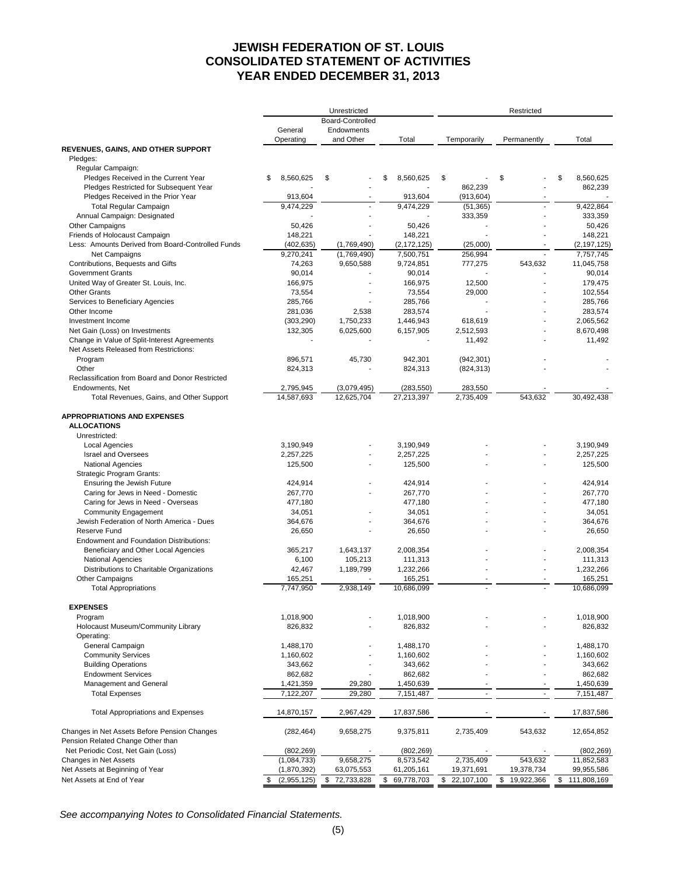### **JEWISH FEDERATION OF ST. LOUIS CONSOLIDATED STATEMENT OF ACTIVITIES YEAR ENDED DECEMBER 31, 2013**

|                                                          |                   | Unrestricted     |                 |                          | Restricted               |                 |
|----------------------------------------------------------|-------------------|------------------|-----------------|--------------------------|--------------------------|-----------------|
|                                                          |                   | Board-Controlled |                 |                          |                          |                 |
|                                                          | General           | Endowments       |                 |                          |                          |                 |
|                                                          | Operating         | and Other        | Total           | Temporarily              | Permanently              | Total           |
| REVENUES, GAINS, AND OTHER SUPPORT                       |                   |                  |                 |                          |                          |                 |
| Pledges:                                                 |                   |                  |                 |                          |                          |                 |
| Regular Campaign:                                        |                   |                  |                 |                          |                          |                 |
| Pledges Received in the Current Year                     | \$<br>8,560,625   | \$               | \$<br>8,560,625 | \$                       | \$                       | \$<br>8,560,625 |
| Pledges Restricted for Subsequent Year                   |                   |                  |                 | 862,239                  |                          | 862,239         |
|                                                          |                   |                  |                 |                          |                          |                 |
| Pledges Received in the Prior Year                       | 913,604           |                  | 913,604         | (913, 604)               |                          |                 |
| <b>Total Regular Campaign</b>                            | 9,474,229         |                  | 9,474,229       | (51, 365)                | $\overline{\phantom{a}}$ | 9,422,864       |
| Annual Campaign: Designated                              |                   |                  |                 | 333,359                  |                          | 333,359         |
| Other Campaigns                                          | 50,426            |                  | 50,426          |                          |                          | 50,426          |
| Friends of Holocaust Campaign                            | 148,221           |                  | 148,221         |                          |                          | 148,221         |
| Less: Amounts Derived from Board-Controlled Funds        | (402, 635)        | (1,769,490)      | (2, 172, 125)   | (25,000)                 |                          | (2, 197, 125)   |
| Net Campaigns                                            | 9,270,241         | (1,769,490)      | 7,500,751       | 256,994                  |                          | 7,757,745       |
| Contributions, Bequests and Gifts                        | 74.263            | 9,650,588        | 9,724,851       | 777,275                  | 543,632                  | 11,045,758      |
|                                                          | 90,014            |                  |                 |                          |                          | 90,014          |
| <b>Government Grants</b>                                 |                   |                  | 90,014          |                          |                          |                 |
| United Way of Greater St. Louis, Inc.                    | 166,975           |                  | 166,975         | 12,500                   |                          | 179,475         |
| <b>Other Grants</b>                                      | 73,554            |                  | 73,554          | 29,000                   |                          | 102,554         |
| Services to Beneficiary Agencies                         | 285,766           |                  | 285,766         |                          |                          | 285,766         |
| Other Income                                             | 281,036           | 2,538            | 283,574         |                          |                          | 283,574         |
| Investment Income                                        | (303, 290)        | 1,750,233        | 1,446,943       | 618,619                  |                          | 2,065,562       |
| Net Gain (Loss) on Investments                           | 132,305           | 6,025,600        | 6,157,905       | 2,512,593                |                          | 8,670,498       |
| Change in Value of Split-Interest Agreements             |                   |                  |                 | 11,492                   |                          | 11,492          |
|                                                          |                   |                  |                 |                          |                          |                 |
| Net Assets Released from Restrictions:                   |                   |                  |                 |                          |                          |                 |
| Program                                                  | 896,571           | 45,730           | 942,301         | (942, 301)               |                          |                 |
| Other                                                    | 824,313           |                  | 824,313         | (824, 313)               |                          |                 |
| Reclassification from Board and Donor Restricted         |                   |                  |                 |                          |                          |                 |
| Endowments, Net                                          | 2,795,945         | (3,079,495)      | (283, 550)      | 283,550                  |                          |                 |
| Total Revenues, Gains, and Other Support                 | 14,587,693        | 12,625,704       | 27,213,397      | 2,735,409                | 543,632                  | 30,492,438      |
|                                                          |                   |                  |                 |                          |                          |                 |
| <b>APPROPRIATIONS AND EXPENSES</b><br><b>ALLOCATIONS</b> |                   |                  |                 |                          |                          |                 |
| Unrestricted:                                            |                   |                  |                 |                          |                          |                 |
| Local Agencies                                           | 3,190,949         |                  | 3,190,949       |                          |                          | 3,190,949       |
| <b>Israel and Oversees</b>                               | 2,257,225         |                  | 2,257,225       |                          |                          | 2,257,225       |
| <b>National Agencies</b>                                 | 125,500           |                  | 125,500         |                          |                          | 125,500         |
| <b>Strategic Program Grants:</b>                         |                   |                  |                 |                          |                          |                 |
| Ensuring the Jewish Future                               | 424,914           |                  | 424,914         |                          |                          | 424,914         |
|                                                          |                   |                  |                 |                          |                          |                 |
| Caring for Jews in Need - Domestic                       | 267,770           |                  | 267,770         |                          |                          | 267,770         |
| Caring for Jews in Need - Overseas                       | 477,180           |                  | 477,180         |                          |                          | 477,180         |
| <b>Community Engagement</b>                              | 34,051            |                  | 34,051          |                          |                          | 34,051          |
| Jewish Federation of North America - Dues                | 364,676           |                  | 364,676         |                          |                          | 364,676         |
| Reserve Fund                                             | 26,650            |                  | 26,650          |                          |                          | 26,650          |
| <b>Endowment and Foundation Distributions:</b>           |                   |                  |                 |                          |                          |                 |
| Beneficiary and Other Local Agencies                     | 365,217           | 1,643,137        | 2,008,354       |                          |                          | 2,008,354       |
|                                                          |                   |                  |                 |                          |                          |                 |
| <b>National Agencies</b>                                 | 6,100             | 105,213          | 111,313         |                          |                          | 111,313         |
| Distributions to Charitable Organizations                | 42,467            | 1,189,799        | 1,232,266       |                          | $\overline{\phantom{a}}$ | 1,232,266       |
| Other Campaigns                                          | 165,251           |                  | 165,251         |                          |                          | 165,251         |
| <b>Total Appropriations</b>                              | 7,747,950         | 2,938,149        | 10,686,099      |                          |                          | 10,686,099      |
|                                                          |                   |                  |                 |                          |                          |                 |
| <b>EXPENSES</b>                                          |                   |                  |                 |                          |                          |                 |
| Program                                                  | 1,018,900         |                  | 1,018,900       |                          |                          | 1,018,900       |
|                                                          |                   |                  |                 |                          |                          |                 |
| Holocaust Museum/Community Library                       | 826,832           |                  | 826,832         |                          |                          | 826,832         |
| Operating:                                               |                   |                  |                 |                          |                          |                 |
| General Campaign                                         | 1,488,170         |                  | 1,488,170       |                          |                          | 1,488,170       |
| <b>Community Services</b>                                | 1,160,602         |                  | 1,160,602       |                          |                          | 1,160,602       |
| <b>Building Operations</b>                               | 343,662           |                  | 343,662         |                          |                          | 343,662         |
|                                                          | 862,682           |                  |                 |                          |                          | 862,682         |
| <b>Endowment Services</b>                                |                   |                  | 862,682         |                          |                          |                 |
| Management and General                                   | 1,421,359         | 29,280           | 1,450,639       |                          |                          | 1,450,639       |
| <b>Total Expenses</b>                                    | 7,122,207         | 29,280           | 7,151,487       | $\overline{\phantom{a}}$ | $\blacksquare$           | 7,151,487       |
|                                                          |                   |                  |                 |                          |                          |                 |
| <b>Total Appropriations and Expenses</b>                 | 14,870,157        | 2,967,429        | 17,837,586      |                          |                          | 17,837,586      |
|                                                          |                   |                  |                 |                          |                          |                 |
| Changes in Net Assets Before Pension Changes             |                   | 9,658,275        |                 |                          |                          |                 |
|                                                          | (282, 464)        |                  | 9,375,811       | 2,735,409                | 543,632                  | 12,654,852      |
| Pension Related Change Other than                        |                   |                  |                 |                          |                          |                 |
| Net Periodic Cost, Net Gain (Loss)                       | (802, 269)        |                  | (802, 269)      |                          |                          | (802, 269)      |
| Changes in Net Assets                                    | (1,084,733)       | 9,658,275        | 8,573,542       | 2,735,409                | 543,632                  | 11,852,583      |
| Net Assets at Beginning of Year                          | (1,870,392)       | 63,075,553       | 61,205,161      | 19,371,691               | 19,378,734               | 99,955,586      |
| Net Assets at End of Year                                | (2,955,125)<br>\$ | \$72,733,828     | \$ 69,778,703   | \$22,107,100             | \$19,922,366             | \$111,808,169   |
|                                                          |                   |                  |                 |                          |                          |                 |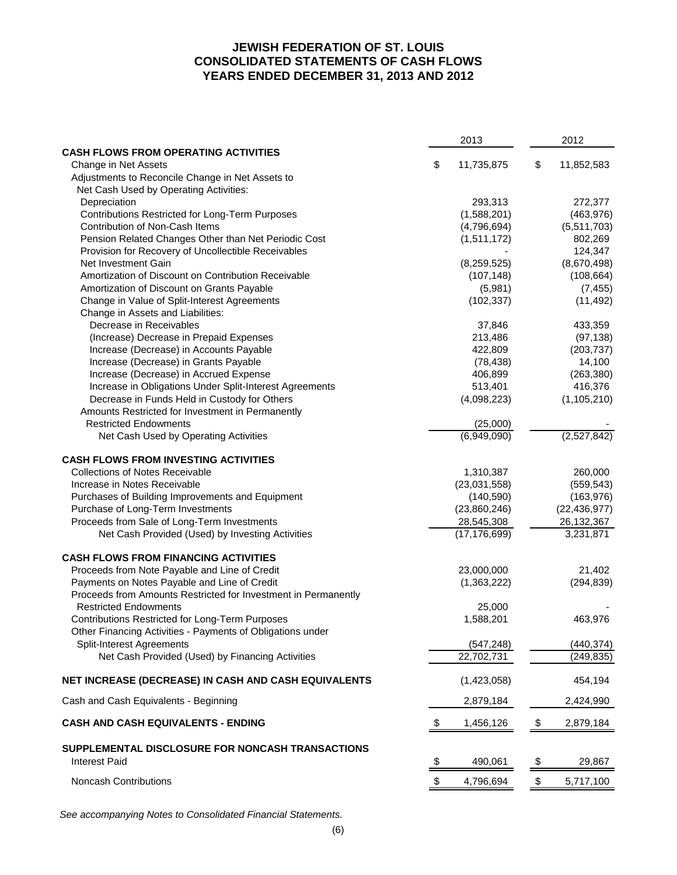# **JEWISH FEDERATION OF ST. LOUIS CONSOLIDATED STATEMENTS OF CASH FLOWS YEARS ENDED DECEMBER 31, 2013 AND 2012**

|                                                                | 2013             | 2012             |
|----------------------------------------------------------------|------------------|------------------|
| <b>CASH FLOWS FROM OPERATING ACTIVITIES</b>                    |                  |                  |
| Change in Net Assets                                           | \$<br>11,735,875 | \$<br>11,852,583 |
| Adjustments to Reconcile Change in Net Assets to               |                  |                  |
| Net Cash Used by Operating Activities:                         |                  |                  |
| Depreciation                                                   | 293,313          | 272,377          |
| Contributions Restricted for Long-Term Purposes                | (1,588,201)      | (463, 976)       |
| Contribution of Non-Cash Items                                 | (4,796,694)      | (5,511,703)      |
| Pension Related Changes Other than Net Periodic Cost           | (1,511,172)      | 802,269          |
| Provision for Recovery of Uncollectible Receivables            |                  | 124,347          |
| Net Investment Gain                                            | (8,259,525)      | (8,670,498)      |
| Amortization of Discount on Contribution Receivable            | (107, 148)       | (108, 664)       |
| Amortization of Discount on Grants Payable                     | (5,981)          | (7, 455)         |
| Change in Value of Split-Interest Agreements                   | (102, 337)       | (11, 492)        |
| Change in Assets and Liabilities:<br>Decrease in Receivables   | 37,846           | 433,359          |
| (Increase) Decrease in Prepaid Expenses                        | 213,486          | (97, 138)        |
| Increase (Decrease) in Accounts Payable                        | 422,809          | (203, 737)       |
| Increase (Decrease) in Grants Payable                          | (78, 438)        | 14,100           |
| Increase (Decrease) in Accrued Expense                         | 406,899          | (263, 380)       |
| Increase in Obligations Under Split-Interest Agreements        | 513,401          | 416,376          |
| Decrease in Funds Held in Custody for Others                   | (4,098,223)      | (1, 105, 210)    |
| Amounts Restricted for Investment in Permanently               |                  |                  |
| <b>Restricted Endowments</b>                                   | (25,000)         |                  |
| Net Cash Used by Operating Activities                          | (6,949,090)      | (2,527,842)      |
| <b>CASH FLOWS FROM INVESTING ACTIVITIES</b>                    |                  |                  |
| <b>Collections of Notes Receivable</b>                         | 1,310,387        | 260,000          |
| Increase in Notes Receivable                                   | (23,031,558)     | (559, 543)       |
| Purchases of Building Improvements and Equipment               | (140, 590)       | (163, 976)       |
| Purchase of Long-Term Investments                              | (23,860,246)     | (22, 436, 977)   |
| Proceeds from Sale of Long-Term Investments                    | 28,545,308       | 26, 132, 367     |
| Net Cash Provided (Used) by Investing Activities               | (17, 176, 699)   | 3,231,871        |
| <b>CASH FLOWS FROM FINANCING ACTIVITIES</b>                    |                  |                  |
| Proceeds from Note Payable and Line of Credit                  | 23,000,000       | 21,402           |
| Payments on Notes Payable and Line of Credit                   | (1,363,222)      | (294, 839)       |
| Proceeds from Amounts Restricted for Investment in Permanently |                  |                  |
| <b>Restricted Endowments</b>                                   | 25,000           |                  |
| Contributions Restricted for Long-Term Purposes                | 1,588,201        | 463,976          |
| Other Financing Activities - Payments of Obligations under     |                  |                  |
| <b>Split-Interest Agreements</b>                               | (547, 248)       | (440, 374)       |
| Net Cash Provided (Used) by Financing Activities               | 22,702,731       | (249, 835)       |
| NET INCREASE (DECREASE) IN CASH AND CASH EQUIVALENTS           | (1,423,058)      | 454,194          |
| Cash and Cash Equivalents - Beginning                          | 2,879,184        | 2,424,990        |
| <b>CASH AND CASH EQUIVALENTS - ENDING</b>                      | \$<br>1,456,126  | \$<br>2,879,184  |
| SUPPLEMENTAL DISCLOSURE FOR NONCASH TRANSACTIONS               |                  |                  |
| <b>Interest Paid</b>                                           | \$<br>490,061    | \$<br>29,867     |
| Noncash Contributions                                          | \$<br>4,796,694  | \$<br>5,717,100  |
|                                                                |                  |                  |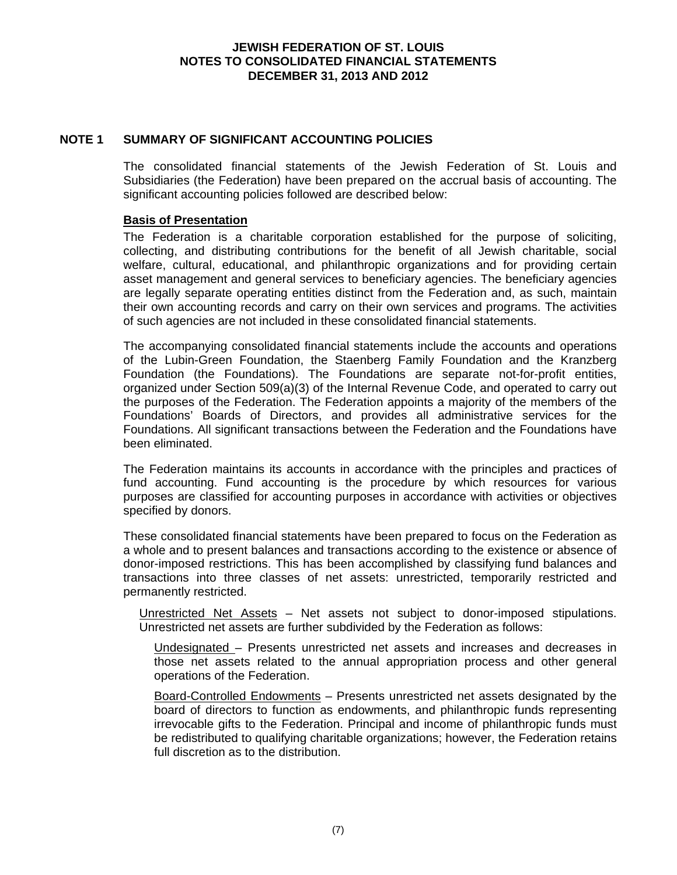### **NOTE 1 SUMMARY OF SIGNIFICANT ACCOUNTING POLICIES**

The consolidated financial statements of the Jewish Federation of St. Louis and Subsidiaries (the Federation) have been prepared on the accrual basis of accounting. The significant accounting policies followed are described below:

#### **Basis of Presentation**

The Federation is a charitable corporation established for the purpose of soliciting, collecting, and distributing contributions for the benefit of all Jewish charitable, social welfare, cultural, educational, and philanthropic organizations and for providing certain asset management and general services to beneficiary agencies. The beneficiary agencies are legally separate operating entities distinct from the Federation and, as such, maintain their own accounting records and carry on their own services and programs. The activities of such agencies are not included in these consolidated financial statements.

The accompanying consolidated financial statements include the accounts and operations of the Lubin-Green Foundation, the Staenberg Family Foundation and the Kranzberg Foundation (the Foundations). The Foundations are separate not-for-profit entities, organized under Section 509(a)(3) of the Internal Revenue Code, and operated to carry out the purposes of the Federation. The Federation appoints a majority of the members of the Foundations' Boards of Directors, and provides all administrative services for the Foundations. All significant transactions between the Federation and the Foundations have been eliminated.

The Federation maintains its accounts in accordance with the principles and practices of fund accounting. Fund accounting is the procedure by which resources for various purposes are classified for accounting purposes in accordance with activities or objectives specified by donors.

These consolidated financial statements have been prepared to focus on the Federation as a whole and to present balances and transactions according to the existence or absence of donor-imposed restrictions. This has been accomplished by classifying fund balances and transactions into three classes of net assets: unrestricted, temporarily restricted and permanently restricted.

Unrestricted Net Assets – Net assets not subject to donor-imposed stipulations. Unrestricted net assets are further subdivided by the Federation as follows:

Undesignated – Presents unrestricted net assets and increases and decreases in those net assets related to the annual appropriation process and other general operations of the Federation.

Board-Controlled Endowments – Presents unrestricted net assets designated by the board of directors to function as endowments, and philanthropic funds representing irrevocable gifts to the Federation. Principal and income of philanthropic funds must be redistributed to qualifying charitable organizations; however, the Federation retains full discretion as to the distribution.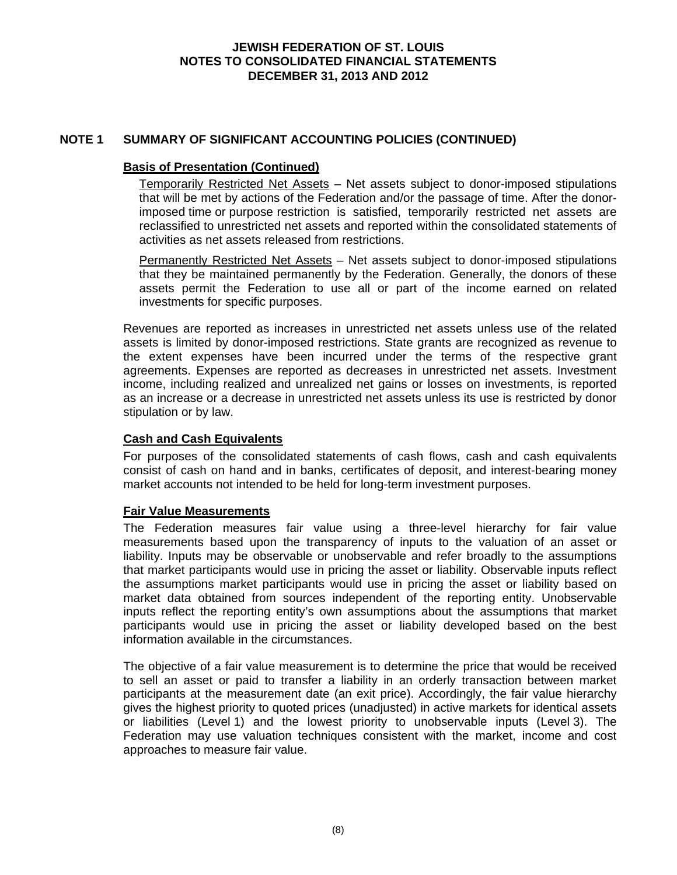### **NOTE 1 SUMMARY OF SIGNIFICANT ACCOUNTING POLICIES (CONTINUED)**

### **Basis of Presentation (Continued)**

Temporarily Restricted Net Assets – Net assets subject to donor-imposed stipulations that will be met by actions of the Federation and/or the passage of time. After the donorimposed time or purpose restriction is satisfied, temporarily restricted net assets are reclassified to unrestricted net assets and reported within the consolidated statements of activities as net assets released from restrictions.

Permanently Restricted Net Assets – Net assets subject to donor-imposed stipulations that they be maintained permanently by the Federation. Generally, the donors of these assets permit the Federation to use all or part of the income earned on related investments for specific purposes.

Revenues are reported as increases in unrestricted net assets unless use of the related assets is limited by donor-imposed restrictions. State grants are recognized as revenue to the extent expenses have been incurred under the terms of the respective grant agreements. Expenses are reported as decreases in unrestricted net assets. Investment income, including realized and unrealized net gains or losses on investments, is reported as an increase or a decrease in unrestricted net assets unless its use is restricted by donor stipulation or by law.

#### **Cash and Cash Equivalents**

For purposes of the consolidated statements of cash flows, cash and cash equivalents consist of cash on hand and in banks, certificates of deposit, and interest-bearing money market accounts not intended to be held for long-term investment purposes.

#### **Fair Value Measurements**

The Federation measures fair value using a three-level hierarchy for fair value measurements based upon the transparency of inputs to the valuation of an asset or liability. Inputs may be observable or unobservable and refer broadly to the assumptions that market participants would use in pricing the asset or liability. Observable inputs reflect the assumptions market participants would use in pricing the asset or liability based on market data obtained from sources independent of the reporting entity. Unobservable inputs reflect the reporting entity's own assumptions about the assumptions that market participants would use in pricing the asset or liability developed based on the best information available in the circumstances.

The objective of a fair value measurement is to determine the price that would be received to sell an asset or paid to transfer a liability in an orderly transaction between market participants at the measurement date (an exit price). Accordingly, the fair value hierarchy gives the highest priority to quoted prices (unadjusted) in active markets for identical assets or liabilities (Level 1) and the lowest priority to unobservable inputs (Level 3). The Federation may use valuation techniques consistent with the market, income and cost approaches to measure fair value.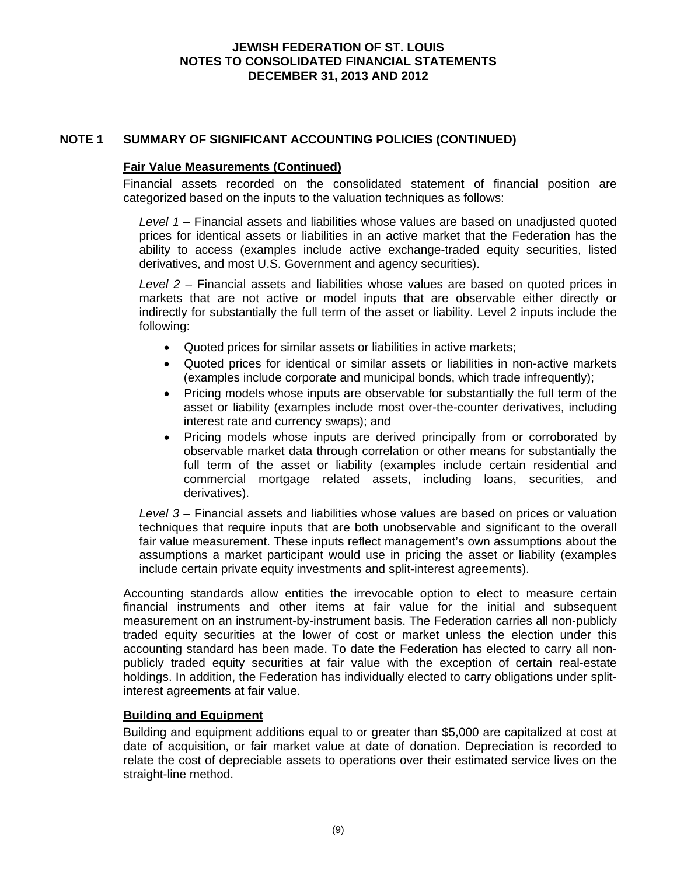### **NOTE 1 SUMMARY OF SIGNIFICANT ACCOUNTING POLICIES (CONTINUED)**

### **Fair Value Measurements (Continued)**

Financial assets recorded on the consolidated statement of financial position are categorized based on the inputs to the valuation techniques as follows:

*Level 1* – Financial assets and liabilities whose values are based on unadjusted quoted prices for identical assets or liabilities in an active market that the Federation has the ability to access (examples include active exchange-traded equity securities, listed derivatives, and most U.S. Government and agency securities).

*Level 2* – Financial assets and liabilities whose values are based on quoted prices in markets that are not active or model inputs that are observable either directly or indirectly for substantially the full term of the asset or liability. Level 2 inputs include the following:

- Quoted prices for similar assets or liabilities in active markets;
- Quoted prices for identical or similar assets or liabilities in non-active markets (examples include corporate and municipal bonds, which trade infrequently);
- Pricing models whose inputs are observable for substantially the full term of the asset or liability (examples include most over-the-counter derivatives, including interest rate and currency swaps); and
- Pricing models whose inputs are derived principally from or corroborated by observable market data through correlation or other means for substantially the full term of the asset or liability (examples include certain residential and commercial mortgage related assets, including loans, securities, and derivatives).

*Level 3* – Financial assets and liabilities whose values are based on prices or valuation techniques that require inputs that are both unobservable and significant to the overall fair value measurement. These inputs reflect management's own assumptions about the assumptions a market participant would use in pricing the asset or liability (examples include certain private equity investments and split-interest agreements).

Accounting standards allow entities the irrevocable option to elect to measure certain financial instruments and other items at fair value for the initial and subsequent measurement on an instrument-by-instrument basis. The Federation carries all non-publicly traded equity securities at the lower of cost or market unless the election under this accounting standard has been made. To date the Federation has elected to carry all nonpublicly traded equity securities at fair value with the exception of certain real-estate holdings. In addition, the Federation has individually elected to carry obligations under splitinterest agreements at fair value.

#### **Building and Equipment**

Building and equipment additions equal to or greater than \$5,000 are capitalized at cost at date of acquisition, or fair market value at date of donation. Depreciation is recorded to relate the cost of depreciable assets to operations over their estimated service lives on the straight-line method.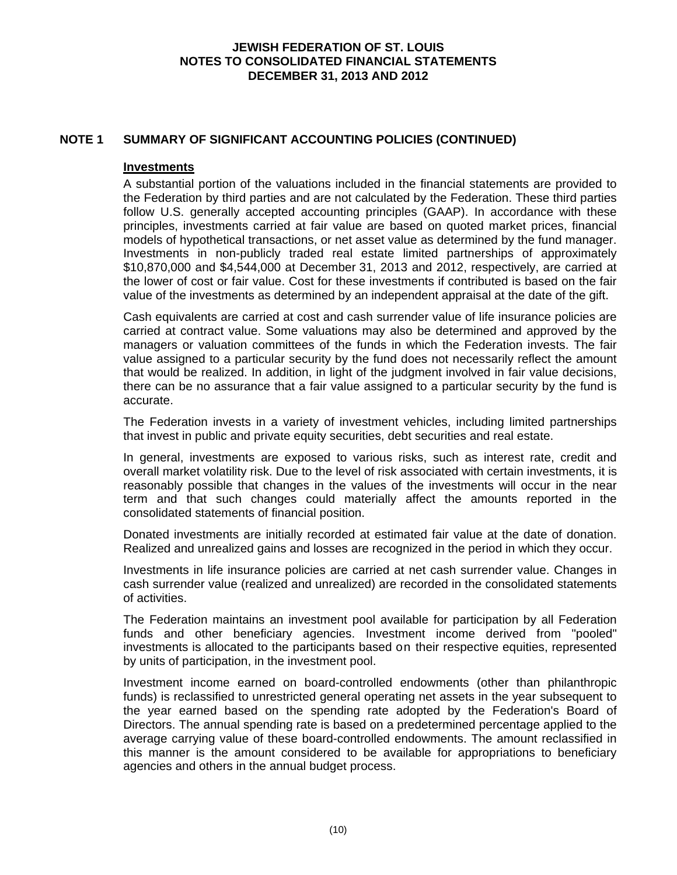## **NOTE 1 SUMMARY OF SIGNIFICANT ACCOUNTING POLICIES (CONTINUED)**

#### **Investments**

A substantial portion of the valuations included in the financial statements are provided to the Federation by third parties and are not calculated by the Federation. These third parties follow U.S. generally accepted accounting principles (GAAP). In accordance with these principles, investments carried at fair value are based on quoted market prices, financial models of hypothetical transactions, or net asset value as determined by the fund manager. Investments in non-publicly traded real estate limited partnerships of approximately \$10,870,000 and \$4,544,000 at December 31, 2013 and 2012, respectively, are carried at the lower of cost or fair value. Cost for these investments if contributed is based on the fair value of the investments as determined by an independent appraisal at the date of the gift.

Cash equivalents are carried at cost and cash surrender value of life insurance policies are carried at contract value. Some valuations may also be determined and approved by the managers or valuation committees of the funds in which the Federation invests. The fair value assigned to a particular security by the fund does not necessarily reflect the amount that would be realized. In addition, in light of the judgment involved in fair value decisions, there can be no assurance that a fair value assigned to a particular security by the fund is accurate.

The Federation invests in a variety of investment vehicles, including limited partnerships that invest in public and private equity securities, debt securities and real estate.

In general, investments are exposed to various risks, such as interest rate, credit and overall market volatility risk. Due to the level of risk associated with certain investments, it is reasonably possible that changes in the values of the investments will occur in the near term and that such changes could materially affect the amounts reported in the consolidated statements of financial position.

Donated investments are initially recorded at estimated fair value at the date of donation. Realized and unrealized gains and losses are recognized in the period in which they occur.

Investments in life insurance policies are carried at net cash surrender value. Changes in cash surrender value (realized and unrealized) are recorded in the consolidated statements of activities.

The Federation maintains an investment pool available for participation by all Federation funds and other beneficiary agencies. Investment income derived from "pooled" investments is allocated to the participants based on their respective equities, represented by units of participation, in the investment pool.

Investment income earned on board-controlled endowments (other than philanthropic funds) is reclassified to unrestricted general operating net assets in the year subsequent to the year earned based on the spending rate adopted by the Federation's Board of Directors. The annual spending rate is based on a predetermined percentage applied to the average carrying value of these board-controlled endowments. The amount reclassified in this manner is the amount considered to be available for appropriations to beneficiary agencies and others in the annual budget process.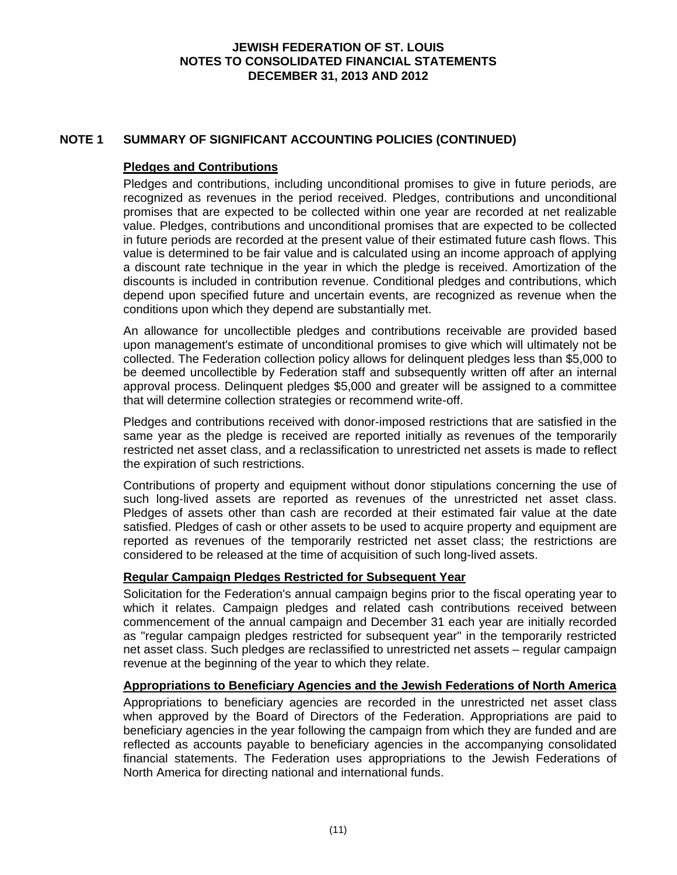# **NOTE 1 SUMMARY OF SIGNIFICANT ACCOUNTING POLICIES (CONTINUED)**

### **Pledges and Contributions**

Pledges and contributions, including unconditional promises to give in future periods, are recognized as revenues in the period received. Pledges, contributions and unconditional promises that are expected to be collected within one year are recorded at net realizable value. Pledges, contributions and unconditional promises that are expected to be collected in future periods are recorded at the present value of their estimated future cash flows. This value is determined to be fair value and is calculated using an income approach of applying a discount rate technique in the year in which the pledge is received. Amortization of the discounts is included in contribution revenue. Conditional pledges and contributions, which depend upon specified future and uncertain events, are recognized as revenue when the conditions upon which they depend are substantially met.

An allowance for uncollectible pledges and contributions receivable are provided based upon management's estimate of unconditional promises to give which will ultimately not be collected. The Federation collection policy allows for delinquent pledges less than \$5,000 to be deemed uncollectible by Federation staff and subsequently written off after an internal approval process. Delinquent pledges \$5,000 and greater will be assigned to a committee that will determine collection strategies or recommend write-off.

Pledges and contributions received with donor-imposed restrictions that are satisfied in the same year as the pledge is received are reported initially as revenues of the temporarily restricted net asset class, and a reclassification to unrestricted net assets is made to reflect the expiration of such restrictions.

Contributions of property and equipment without donor stipulations concerning the use of such long-lived assets are reported as revenues of the unrestricted net asset class. Pledges of assets other than cash are recorded at their estimated fair value at the date satisfied. Pledges of cash or other assets to be used to acquire property and equipment are reported as revenues of the temporarily restricted net asset class; the restrictions are considered to be released at the time of acquisition of such long-lived assets.

# **Regular Campaign Pledges Restricted for Subsequent Year**

Solicitation for the Federation's annual campaign begins prior to the fiscal operating year to which it relates. Campaign pledges and related cash contributions received between commencement of the annual campaign and December 31 each year are initially recorded as "regular campaign pledges restricted for subsequent year" in the temporarily restricted net asset class. Such pledges are reclassified to unrestricted net assets – regular campaign revenue at the beginning of the year to which they relate.

#### **Appropriations to Beneficiary Agencies and the Jewish Federations of North America**

Appropriations to beneficiary agencies are recorded in the unrestricted net asset class when approved by the Board of Directors of the Federation. Appropriations are paid to beneficiary agencies in the year following the campaign from which they are funded and are reflected as accounts payable to beneficiary agencies in the accompanying consolidated financial statements. The Federation uses appropriations to the Jewish Federations of North America for directing national and international funds.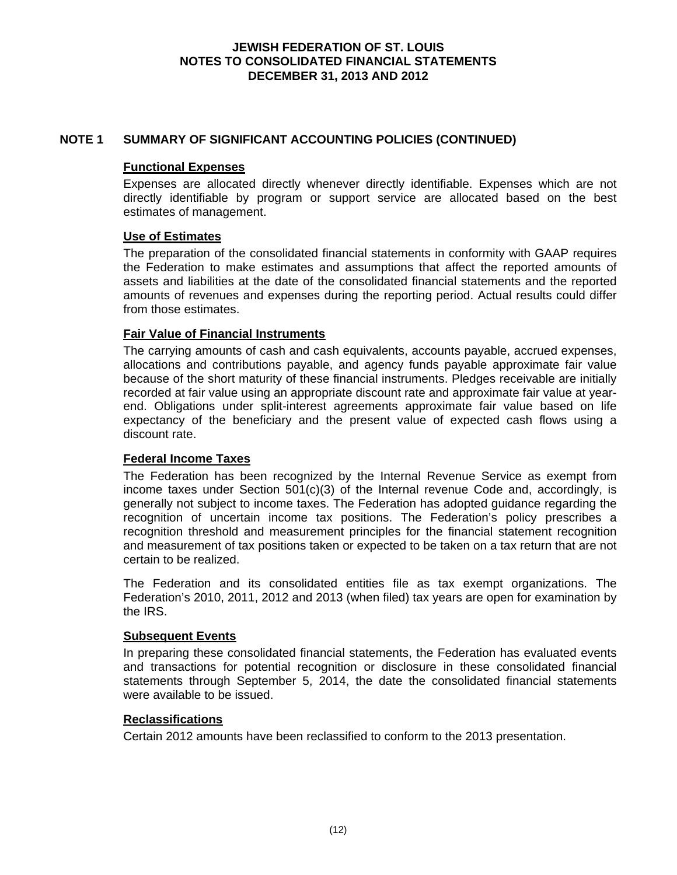### **NOTE 1 SUMMARY OF SIGNIFICANT ACCOUNTING POLICIES (CONTINUED)**

### **Functional Expenses**

Expenses are allocated directly whenever directly identifiable. Expenses which are not directly identifiable by program or support service are allocated based on the best estimates of management.

### **Use of Estimates**

The preparation of the consolidated financial statements in conformity with GAAP requires the Federation to make estimates and assumptions that affect the reported amounts of assets and liabilities at the date of the consolidated financial statements and the reported amounts of revenues and expenses during the reporting period. Actual results could differ from those estimates.

### **Fair Value of Financial Instruments**

The carrying amounts of cash and cash equivalents, accounts payable, accrued expenses, allocations and contributions payable, and agency funds payable approximate fair value because of the short maturity of these financial instruments. Pledges receivable are initially recorded at fair value using an appropriate discount rate and approximate fair value at yearend. Obligations under split-interest agreements approximate fair value based on life expectancy of the beneficiary and the present value of expected cash flows using a discount rate.

#### **Federal Income Taxes**

The Federation has been recognized by the Internal Revenue Service as exempt from income taxes under Section  $501(c)(3)$  of the Internal revenue Code and, accordingly, is generally not subject to income taxes. The Federation has adopted guidance regarding the recognition of uncertain income tax positions. The Federation's policy prescribes a recognition threshold and measurement principles for the financial statement recognition and measurement of tax positions taken or expected to be taken on a tax return that are not certain to be realized.

The Federation and its consolidated entities file as tax exempt organizations. The Federation's 2010, 2011, 2012 and 2013 (when filed) tax years are open for examination by the IRS.

#### **Subsequent Events**

In preparing these consolidated financial statements, the Federation has evaluated events and transactions for potential recognition or disclosure in these consolidated financial statements through September 5, 2014, the date the consolidated financial statements were available to be issued.

#### **Reclassifications**

Certain 2012 amounts have been reclassified to conform to the 2013 presentation.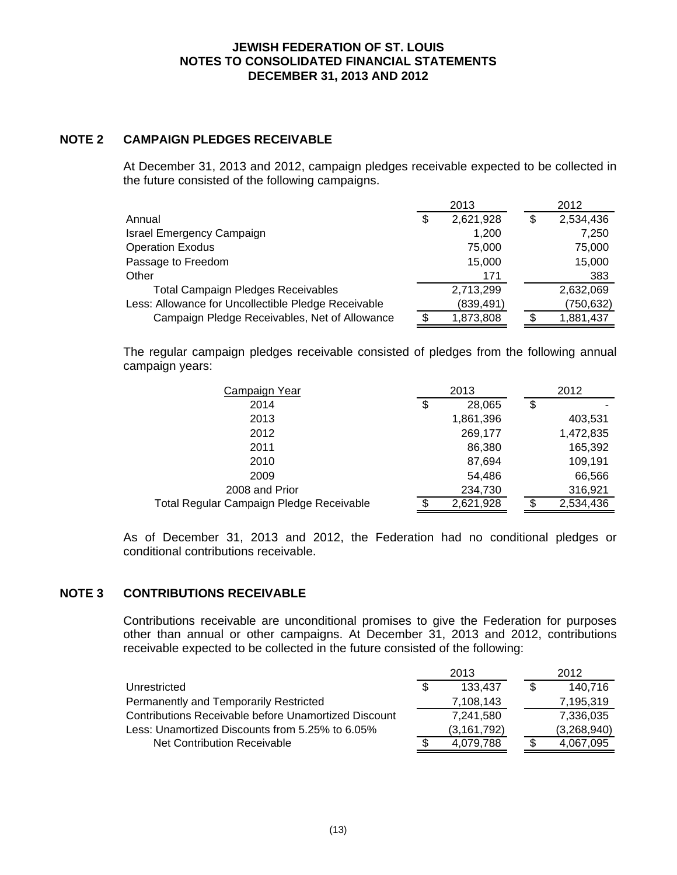## **NOTE 2 CAMPAIGN PLEDGES RECEIVABLE**

At December 31, 2013 and 2012, campaign pledges receivable expected to be collected in the future consisted of the following campaigns.

|                                                     | 2013 |            | 2012            |
|-----------------------------------------------------|------|------------|-----------------|
| Annual                                              | \$   | 2,621,928  | \$<br>2,534,436 |
| <b>Israel Emergency Campaign</b>                    |      | 1.200      | 7,250           |
| <b>Operation Exodus</b>                             |      | 75,000     | 75,000          |
| Passage to Freedom                                  |      | 15,000     | 15,000          |
| Other                                               |      | 171        | 383             |
| <b>Total Campaign Pledges Receivables</b>           |      | 2,713,299  | 2,632,069       |
| Less: Allowance for Uncollectible Pledge Receivable |      | (839, 491) | (750, 632)      |
| Campaign Pledge Receivables, Net of Allowance       | \$   | 1,873,808  | \$<br>1,881,437 |

The regular campaign pledges receivable consisted of pledges from the following annual campaign years:

| Campaign Year                            | 2013 |           |  |     | 2012      |
|------------------------------------------|------|-----------|--|-----|-----------|
| 2014                                     | \$   | 28,065    |  | \$  |           |
| 2013                                     |      | 1,861,396 |  |     | 403,531   |
| 2012                                     |      | 269,177   |  |     | 1,472,835 |
| 2011                                     |      | 86,380    |  |     | 165,392   |
| 2010                                     |      | 87,694    |  |     | 109,191   |
| 2009                                     |      | 54,486    |  |     | 66,566    |
| 2008 and Prior                           |      | 234,730   |  |     | 316,921   |
| Total Regular Campaign Pledge Receivable | \$   | 2,621,928 |  | \$. | 2,534,436 |

As of December 31, 2013 and 2012, the Federation had no conditional pledges or conditional contributions receivable.

#### **NOTE 3 CONTRIBUTIONS RECEIVABLE**

Contributions receivable are unconditional promises to give the Federation for purposes other than annual or other campaigns. At December 31, 2013 and 2012, contributions receivable expected to be collected in the future consisted of the following:

|                                                      | 2013 |               | 2012          |
|------------------------------------------------------|------|---------------|---------------|
| Unrestricted                                         | S    | 133.437       | \$<br>140.716 |
| Permanently and Temporarily Restricted               |      | 7,108,143     | 7,195,319     |
| Contributions Receivable before Unamortized Discount |      | 7,241,580     | 7,336,035     |
| Less: Unamortized Discounts from 5.25% to 6.05%      |      | (3, 161, 792) | (3,268,940)   |
| Net Contribution Receivable                          |      | 4.079.788     | 4,067,095     |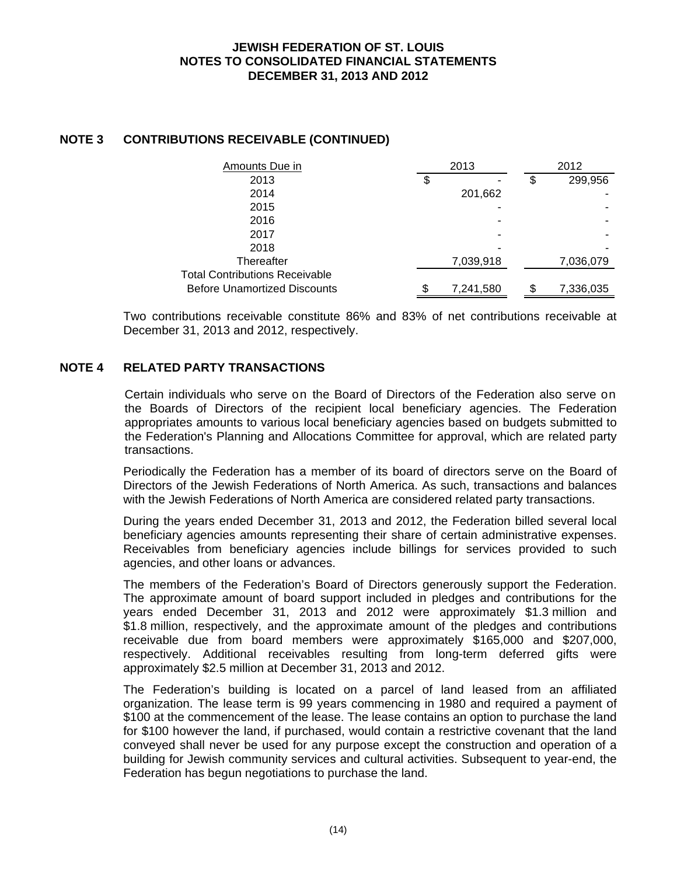## **NOTE 3 CONTRIBUTIONS RECEIVABLE (CONTINUED)**

| Amounts Due in                        | 2013            |    | 2012      |
|---------------------------------------|-----------------|----|-----------|
| 2013                                  | \$              | \$ | 299,956   |
| 2014                                  | 201,662         |    |           |
| 2015                                  |                 |    |           |
| 2016                                  |                 |    |           |
| 2017                                  |                 |    |           |
| 2018                                  |                 |    |           |
| Thereafter                            | 7,039,918       |    | 7,036,079 |
| <b>Total Contributions Receivable</b> |                 |    |           |
| <b>Before Unamortized Discounts</b>   | \$<br>7,241,580 | ፍ  | 7,336,035 |

Two contributions receivable constitute 86% and 83% of net contributions receivable at December 31, 2013 and 2012, respectively.

### **NOTE 4 RELATED PARTY TRANSACTIONS**

Certain individuals who serve on the Board of Directors of the Federation also serve on the Boards of Directors of the recipient local beneficiary agencies. The Federation appropriates amounts to various local beneficiary agencies based on budgets submitted to the Federation's Planning and Allocations Committee for approval, which are related party transactions.

Periodically the Federation has a member of its board of directors serve on the Board of Directors of the Jewish Federations of North America. As such, transactions and balances with the Jewish Federations of North America are considered related party transactions.

During the years ended December 31, 2013 and 2012, the Federation billed several local beneficiary agencies amounts representing their share of certain administrative expenses. Receivables from beneficiary agencies include billings for services provided to such agencies, and other loans or advances.

The members of the Federation's Board of Directors generously support the Federation. The approximate amount of board support included in pledges and contributions for the years ended December 31, 2013 and 2012 were approximately \$1.3 million and \$1.8 million, respectively, and the approximate amount of the pledges and contributions receivable due from board members were approximately \$165,000 and \$207,000, respectively. Additional receivables resulting from long-term deferred gifts were approximately \$2.5 million at December 31, 2013 and 2012.

The Federation's building is located on a parcel of land leased from an affiliated organization. The lease term is 99 years commencing in 1980 and required a payment of \$100 at the commencement of the lease. The lease contains an option to purchase the land for \$100 however the land, if purchased, would contain a restrictive covenant that the land conveyed shall never be used for any purpose except the construction and operation of a building for Jewish community services and cultural activities. Subsequent to year-end, the Federation has begun negotiations to purchase the land.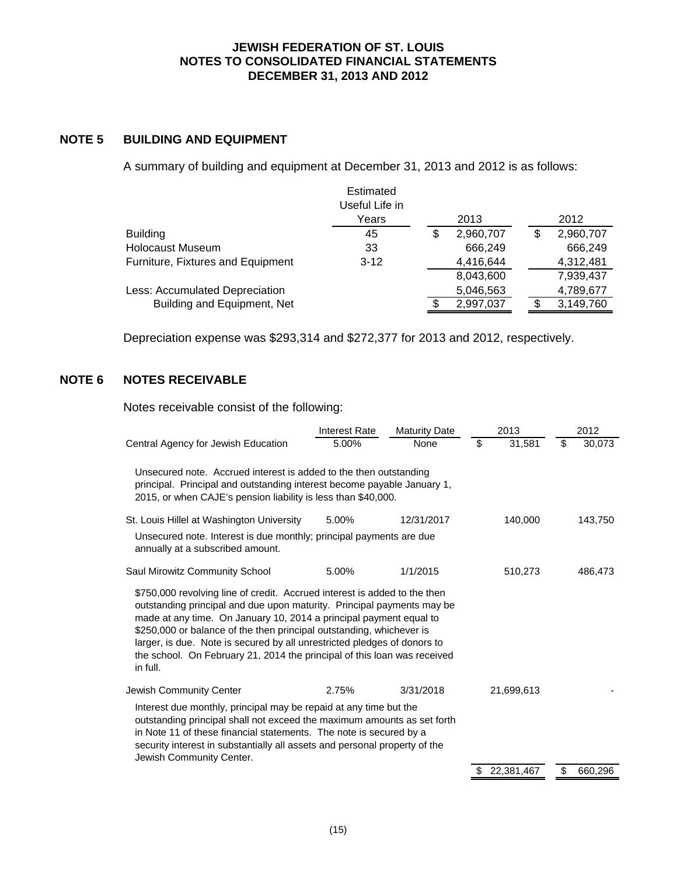### **NOTE 5 BUILDING AND EQUIPMENT**

A summary of building and equipment at December 31, 2013 and 2012 is as follows:

|                                          | Estimated<br>Useful Life in |                 |  |           |
|------------------------------------------|-----------------------------|-----------------|--|-----------|
|                                          | Years                       | 2013            |  | 2012      |
| <b>Building</b>                          | 45                          | \$<br>2,960,707 |  | 2,960,707 |
| <b>Holocaust Museum</b>                  | 33                          | 666,249         |  | 666,249   |
| <b>Furniture, Fixtures and Equipment</b> | $3 - 12$                    | 4,416,644       |  | 4,312,481 |
|                                          |                             | 8,043,600       |  | 7,939,437 |
| <b>Less: Accumulated Depreciation</b>    |                             | 5,046,563       |  | 4,789,677 |
| Building and Equipment, Net              |                             | 2,997,037       |  | 3,149,760 |

Depreciation expense was \$293,314 and \$272,377 for 2013 and 2012, respectively.

# **NOTE 6 NOTES RECEIVABLE**

Notes receivable consist of the following:

| 5.00%<br>\$<br>31,581<br>\$<br>30,073<br>None<br>Central Agency for Jewish Education<br>Unsecured note. Accrued interest is added to the then outstanding<br>principal. Principal and outstanding interest become payable January 1,<br>2015, or when CAJE's pension liability is less than \$40,000.<br>St. Louis Hillel at Washington University<br>5.00%<br>12/31/2017<br>140,000<br>143,750<br>Unsecured note. Interest is due monthly; principal payments are due<br>annually at a subscribed amount.<br>Saul Mirowitz Community School<br>5.00%<br>1/1/2015<br>510,273<br>486,473<br>\$750,000 revolving line of credit. Accrued interest is added to the then<br>outstanding principal and due upon maturity. Principal payments may be<br>made at any time. On January 10, 2014 a principal payment equal to<br>\$250,000 or balance of the then principal outstanding, whichever is<br>larger, is due. Note is secured by all unrestricted pledges of donors to<br>the school. On February 21, 2014 the principal of this loan was received<br>in full.<br>Jewish Community Center<br>2.75%<br>3/31/2018<br>21,699,613<br>Interest due monthly, principal may be repaid at any time but the<br>outstanding principal shall not exceed the maximum amounts as set forth<br>in Note 11 of these financial statements. The note is secured by a<br>security interest in substantially all assets and personal property of the<br>Jewish Community Center.<br>22,381,467<br>\$<br>660,296 |  | <b>Interest Rate</b> | <b>Maturity Date</b> | 2013 | 2012 |
|------------------------------------------------------------------------------------------------------------------------------------------------------------------------------------------------------------------------------------------------------------------------------------------------------------------------------------------------------------------------------------------------------------------------------------------------------------------------------------------------------------------------------------------------------------------------------------------------------------------------------------------------------------------------------------------------------------------------------------------------------------------------------------------------------------------------------------------------------------------------------------------------------------------------------------------------------------------------------------------------------------------------------------------------------------------------------------------------------------------------------------------------------------------------------------------------------------------------------------------------------------------------------------------------------------------------------------------------------------------------------------------------------------------------------------------------------------------------------------------------|--|----------------------|----------------------|------|------|
|                                                                                                                                                                                                                                                                                                                                                                                                                                                                                                                                                                                                                                                                                                                                                                                                                                                                                                                                                                                                                                                                                                                                                                                                                                                                                                                                                                                                                                                                                                |  |                      |                      |      |      |
|                                                                                                                                                                                                                                                                                                                                                                                                                                                                                                                                                                                                                                                                                                                                                                                                                                                                                                                                                                                                                                                                                                                                                                                                                                                                                                                                                                                                                                                                                                |  |                      |                      |      |      |
|                                                                                                                                                                                                                                                                                                                                                                                                                                                                                                                                                                                                                                                                                                                                                                                                                                                                                                                                                                                                                                                                                                                                                                                                                                                                                                                                                                                                                                                                                                |  |                      |                      |      |      |
|                                                                                                                                                                                                                                                                                                                                                                                                                                                                                                                                                                                                                                                                                                                                                                                                                                                                                                                                                                                                                                                                                                                                                                                                                                                                                                                                                                                                                                                                                                |  |                      |                      |      |      |
|                                                                                                                                                                                                                                                                                                                                                                                                                                                                                                                                                                                                                                                                                                                                                                                                                                                                                                                                                                                                                                                                                                                                                                                                                                                                                                                                                                                                                                                                                                |  |                      |                      |      |      |
|                                                                                                                                                                                                                                                                                                                                                                                                                                                                                                                                                                                                                                                                                                                                                                                                                                                                                                                                                                                                                                                                                                                                                                                                                                                                                                                                                                                                                                                                                                |  |                      |                      |      |      |
|                                                                                                                                                                                                                                                                                                                                                                                                                                                                                                                                                                                                                                                                                                                                                                                                                                                                                                                                                                                                                                                                                                                                                                                                                                                                                                                                                                                                                                                                                                |  |                      |                      |      |      |
|                                                                                                                                                                                                                                                                                                                                                                                                                                                                                                                                                                                                                                                                                                                                                                                                                                                                                                                                                                                                                                                                                                                                                                                                                                                                                                                                                                                                                                                                                                |  |                      |                      |      |      |
|                                                                                                                                                                                                                                                                                                                                                                                                                                                                                                                                                                                                                                                                                                                                                                                                                                                                                                                                                                                                                                                                                                                                                                                                                                                                                                                                                                                                                                                                                                |  |                      |                      |      |      |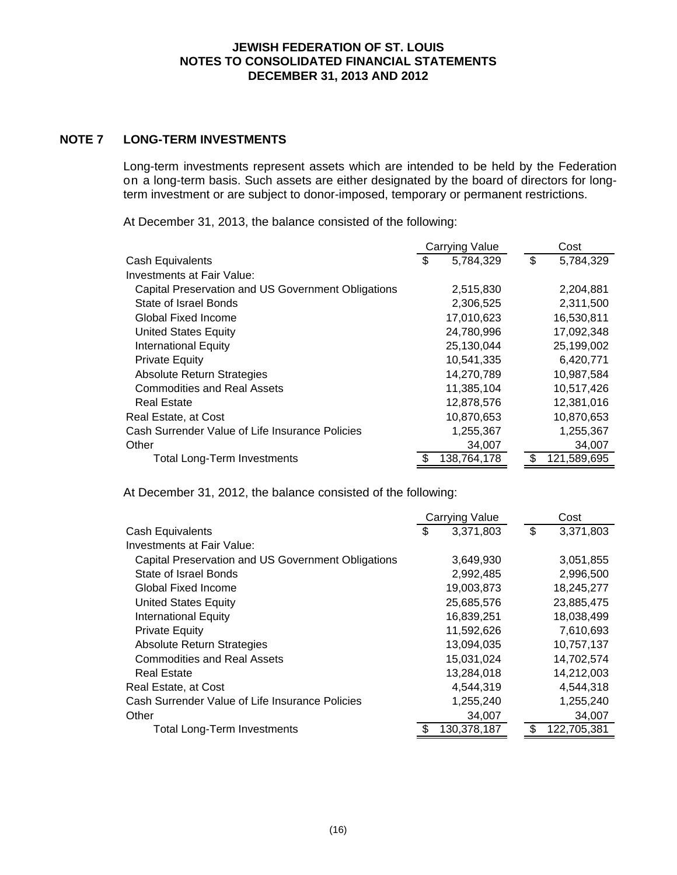### **NOTE 7 LONG-TERM INVESTMENTS**

Long-term investments represent assets which are intended to be held by the Federation on a long-term basis. Such assets are either designated by the board of directors for longterm investment or are subject to donor-imposed, temporary or permanent restrictions.

At December 31, 2013, the balance consisted of the following:

|                                                    | <b>Carrying Value</b> |    | Cost        |
|----------------------------------------------------|-----------------------|----|-------------|
| Cash Equivalents                                   | \$<br>5,784,329       | \$ | 5,784,329   |
| Investments at Fair Value:                         |                       |    |             |
| Capital Preservation and US Government Obligations | 2,515,830             |    | 2,204,881   |
| State of Israel Bonds                              | 2,306,525             |    | 2,311,500   |
| <b>Global Fixed Income</b>                         | 17,010,623            |    | 16,530,811  |
| <b>United States Equity</b>                        | 24,780,996            |    | 17,092,348  |
| <b>International Equity</b>                        | 25.130.044            |    | 25,199,002  |
| <b>Private Equity</b>                              | 10,541,335            |    | 6,420,771   |
| <b>Absolute Return Strategies</b>                  | 14,270,789            |    | 10,987,584  |
| <b>Commodities and Real Assets</b>                 | 11,385,104            |    | 10,517,426  |
| <b>Real Estate</b>                                 | 12,878,576            |    | 12,381,016  |
| Real Estate, at Cost                               | 10,870,653            |    | 10,870,653  |
| Cash Surrender Value of Life Insurance Policies    | 1,255,367             |    | 1,255,367   |
| Other                                              | 34,007                |    | 34,007      |
| <b>Total Long-Term Investments</b>                 | 138,764,178           | S  | 121,589,695 |

At December 31, 2012, the balance consisted of the following:

|                                                    | <b>Carrying Value</b> | Cost |             |
|----------------------------------------------------|-----------------------|------|-------------|
| Cash Equivalents                                   | \$<br>3,371,803       | \$   | 3,371,803   |
| Investments at Fair Value:                         |                       |      |             |
| Capital Preservation and US Government Obligations | 3,649,930             |      | 3,051,855   |
| State of Israel Bonds                              | 2,992,485             |      | 2,996,500   |
| Global Fixed Income                                | 19,003,873            |      | 18,245,277  |
| <b>United States Equity</b>                        | 25,685,576            |      | 23,885,475  |
| <b>International Equity</b>                        | 16,839,251            |      | 18,038,499  |
| <b>Private Equity</b>                              | 11,592,626            |      | 7,610,693   |
| <b>Absolute Return Strategies</b>                  | 13,094,035            |      | 10,757,137  |
| <b>Commodities and Real Assets</b>                 | 15,031,024            |      | 14,702,574  |
| <b>Real Estate</b>                                 | 13,284,018            |      | 14,212,003  |
| Real Estate, at Cost                               | 4,544,319             |      | 4,544,318   |
| Cash Surrender Value of Life Insurance Policies    | 1,255,240             |      | 1,255,240   |
| Other                                              | 34,007                |      | 34,007      |
| <b>Total Long-Term Investments</b>                 | 130,378,187           | \$   | 122,705,381 |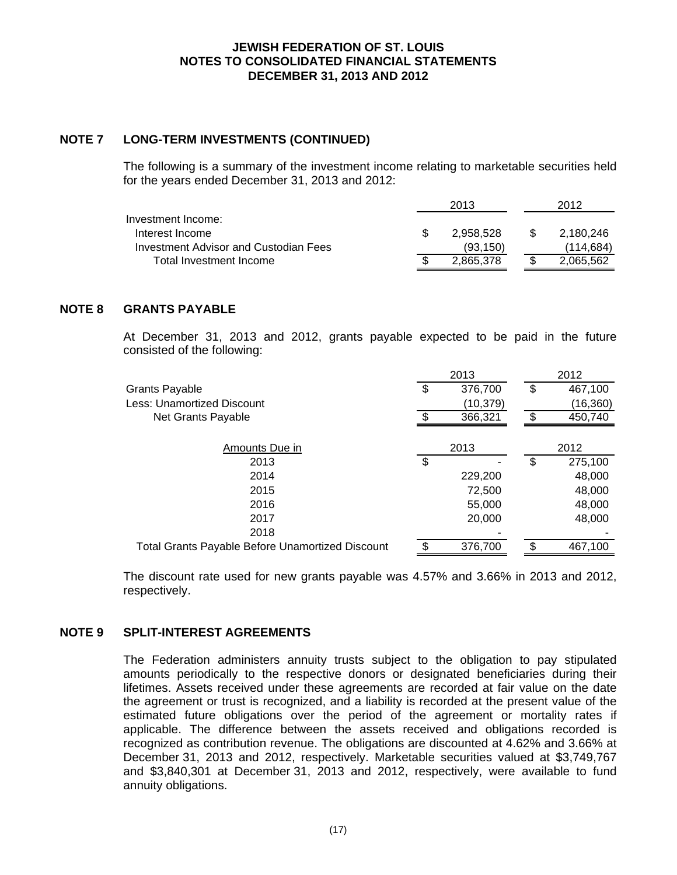## **NOTE 7 LONG-TERM INVESTMENTS (CONTINUED)**

The following is a summary of the investment income relating to marketable securities held for the years ended December 31, 2013 and 2012:

|                                       | 2013      |     | 2012      |
|---------------------------------------|-----------|-----|-----------|
| Investment Income:                    |           |     |           |
| Interest Income                       | 2.958.528 | -SS | 2.180.246 |
| Investment Advisor and Custodian Fees | (93, 150) |     | (114.684) |
| Total Investment Income               | 2.865.378 | S   | 2.065.562 |

#### **NOTE 8 GRANTS PAYABLE**

At December 31, 2013 and 2012, grants payable expected to be paid in the future consisted of the following:

|                                                         |    | 2013     | 2012          |
|---------------------------------------------------------|----|----------|---------------|
| <b>Grants Payable</b>                                   | \$ | 376,700  | \$<br>467,100 |
| <b>Less: Unamortized Discount</b>                       |    | (10,379) | (16,360)      |
| Net Grants Payable                                      | c  | 366,321  | \$<br>450,740 |
|                                                         |    |          |               |
| Amounts Due in                                          |    | 2013     | 2012          |
| 2013                                                    | \$ |          | \$<br>275,100 |
| 2014                                                    |    | 229,200  | 48,000        |
| 2015                                                    |    | 72,500   | 48,000        |
| 2016                                                    |    | 55,000   | 48,000        |
| 2017                                                    |    | 20,000   | 48,000        |
| 2018                                                    |    |          |               |
| <b>Total Grants Payable Before Unamortized Discount</b> | \$ | 376,700  | \$<br>467,100 |

The discount rate used for new grants payable was 4.57% and 3.66% in 2013 and 2012, respectively.

# **NOTE 9 SPLIT-INTEREST AGREEMENTS**

The Federation administers annuity trusts subject to the obligation to pay stipulated amounts periodically to the respective donors or designated beneficiaries during their lifetimes. Assets received under these agreements are recorded at fair value on the date the agreement or trust is recognized, and a liability is recorded at the present value of the estimated future obligations over the period of the agreement or mortality rates if applicable. The difference between the assets received and obligations recorded is recognized as contribution revenue. The obligations are discounted at 4.62% and 3.66% at December 31, 2013 and 2012, respectively. Marketable securities valued at \$3,749,767 and \$3,840,301 at December 31, 2013 and 2012, respectively, were available to fund annuity obligations.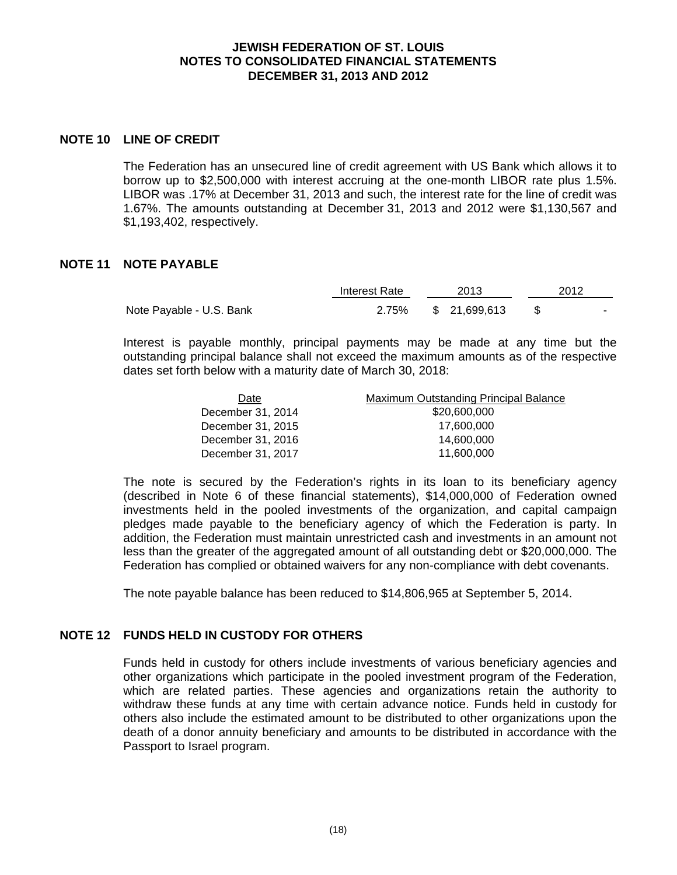#### **NOTE 10 LINE OF CREDIT**

The Federation has an unsecured line of credit agreement with US Bank which allows it to borrow up to \$2,500,000 with interest accruing at the one-month LIBOR rate plus 1.5%. LIBOR was .17% at December 31, 2013 and such, the interest rate for the line of credit was 1.67%. The amounts outstanding at December 31, 2013 and 2012 were \$1,130,567 and \$1,193,402, respectively.

### **NOTE 11 NOTE PAYABLE**

|                          | Interest Rate | 2013                | 2012 |
|--------------------------|---------------|---------------------|------|
| Note Payable - U.S. Bank |               | 2.75% \$ 21,699,613 |      |

Interest is payable monthly, principal payments may be made at any time but the outstanding principal balance shall not exceed the maximum amounts as of the respective dates set forth below with a maturity date of March 30, 2018:

| Date              | Maximum Outstanding Principal Balance |
|-------------------|---------------------------------------|
| December 31, 2014 | \$20,600,000                          |
| December 31, 2015 | 17.600.000                            |
| December 31, 2016 | 14.600.000                            |
| December 31, 2017 | 11.600.000                            |

The note is secured by the Federation's rights in its loan to its beneficiary agency (described in Note 6 of these financial statements), \$14,000,000 of Federation owned investments held in the pooled investments of the organization, and capital campaign pledges made payable to the beneficiary agency of which the Federation is party. In addition, the Federation must maintain unrestricted cash and investments in an amount not less than the greater of the aggregated amount of all outstanding debt or \$20,000,000. The Federation has complied or obtained waivers for any non-compliance with debt covenants.

The note payable balance has been reduced to \$14,806,965 at September 5, 2014.

# **NOTE 12 FUNDS HELD IN CUSTODY FOR OTHERS**

Funds held in custody for others include investments of various beneficiary agencies and other organizations which participate in the pooled investment program of the Federation, which are related parties. These agencies and organizations retain the authority to withdraw these funds at any time with certain advance notice. Funds held in custody for others also include the estimated amount to be distributed to other organizations upon the death of a donor annuity beneficiary and amounts to be distributed in accordance with the Passport to Israel program.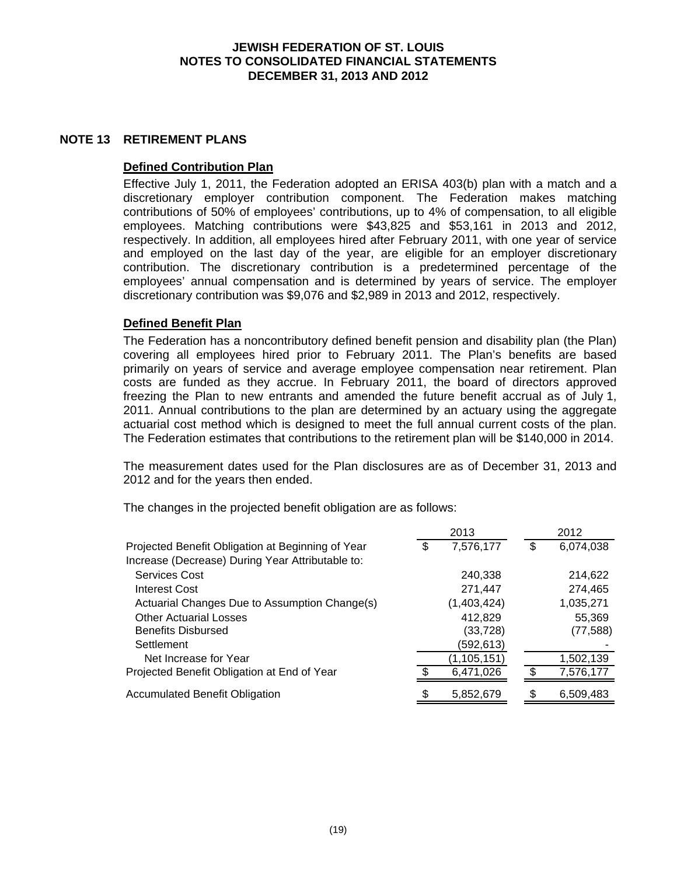#### **NOTE 13 RETIREMENT PLANS**

#### **Defined Contribution Plan**

Effective July 1, 2011, the Federation adopted an ERISA 403(b) plan with a match and a discretionary employer contribution component. The Federation makes matching contributions of 50% of employees' contributions, up to 4% of compensation, to all eligible employees. Matching contributions were \$43,825 and \$53,161 in 2013 and 2012, respectively. In addition, all employees hired after February 2011, with one year of service and employed on the last day of the year, are eligible for an employer discretionary contribution. The discretionary contribution is a predetermined percentage of the employees' annual compensation and is determined by years of service. The employer discretionary contribution was \$9,076 and \$2,989 in 2013 and 2012, respectively.

#### **Defined Benefit Plan**

The Federation has a noncontributory defined benefit pension and disability plan (the Plan) covering all employees hired prior to February 2011. The Plan's benefits are based primarily on years of service and average employee compensation near retirement. Plan costs are funded as they accrue. In February 2011, the board of directors approved freezing the Plan to new entrants and amended the future benefit accrual as of July 1, 2011. Annual contributions to the plan are determined by an actuary using the aggregate actuarial cost method which is designed to meet the full annual current costs of the plan. The Federation estimates that contributions to the retirement plan will be \$140,000 in 2014.

The measurement dates used for the Plan disclosures are as of December 31, 2013 and 2012 and for the years then ended.

The changes in the projected benefit obligation are as follows:

|                                                   | 2013 |               | 2012 |           |  |
|---------------------------------------------------|------|---------------|------|-----------|--|
| Projected Benefit Obligation at Beginning of Year | \$   | 7,576,177     | \$   | 6,074,038 |  |
| Increase (Decrease) During Year Attributable to:  |      |               |      |           |  |
| <b>Services Cost</b>                              |      | 240,338       |      | 214,622   |  |
| Interest Cost                                     |      | 271,447       |      | 274,465   |  |
| Actuarial Changes Due to Assumption Change(s)     |      | (1,403,424)   |      | 1,035,271 |  |
| <b>Other Actuarial Losses</b>                     |      | 412,829       |      | 55,369    |  |
| <b>Benefits Disbursed</b>                         |      | (33, 728)     |      | (77, 588) |  |
| Settlement                                        |      | (592,613)     |      |           |  |
| Net Increase for Year                             |      | (1, 105, 151) |      | 1,502,139 |  |
| Projected Benefit Obligation at End of Year       |      | 6,471,026     | ß.   | 7,576,177 |  |
| <b>Accumulated Benefit Obligation</b>             |      | 5,852,679     | S    | 6,509,483 |  |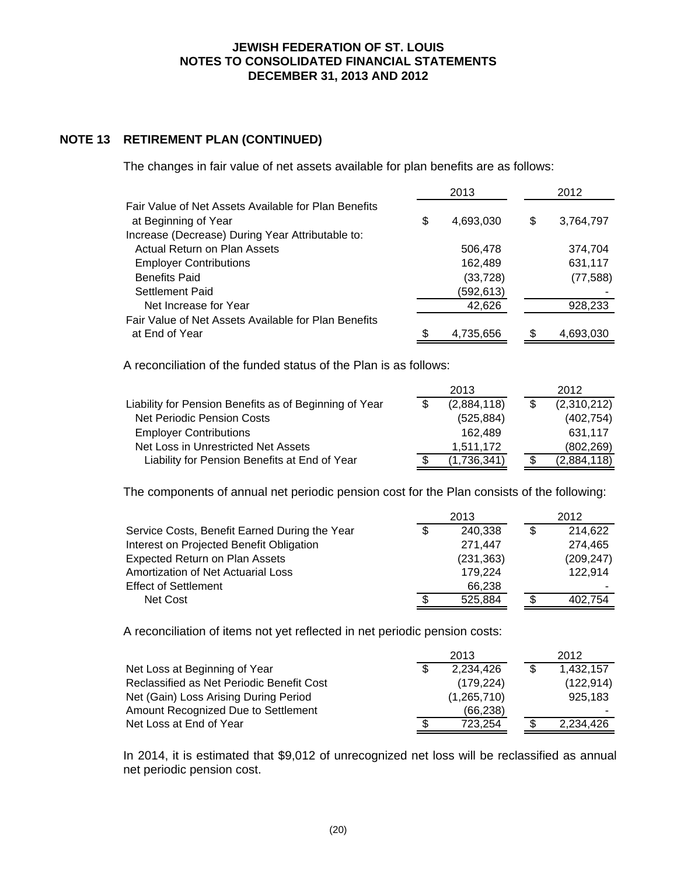# **NOTE 13 RETIREMENT PLAN (CONTINUED)**

The changes in fair value of net assets available for plan benefits are as follows:

|                                                                              | 2013            |    | 2012      |
|------------------------------------------------------------------------------|-----------------|----|-----------|
| Fair Value of Net Assets Available for Plan Benefits<br>at Beginning of Year | \$<br>4,693,030 | \$ | 3,764,797 |
| Increase (Decrease) During Year Attributable to:                             |                 |    |           |
| Actual Return on Plan Assets                                                 | 506,478         |    | 374,704   |
| <b>Employer Contributions</b>                                                | 162,489         |    | 631,117   |
| <b>Benefits Paid</b>                                                         | (33, 728)       |    | (77, 588) |
| Settlement Paid                                                              | (592,613)       |    |           |
| Net Increase for Year                                                        | 42,626          |    | 928,233   |
| Fair Value of Net Assets Available for Plan Benefits                         |                 |    |           |
| at End of Year                                                               | 4,735,656       | ß. | 4,693,030 |

A reconciliation of the funded status of the Plan is as follows:

|                                                        | 2013        |    | 2012        |
|--------------------------------------------------------|-------------|----|-------------|
| Liability for Pension Benefits as of Beginning of Year | (2,884,118) | \$ | (2,310,212) |
| <b>Net Periodic Pension Costs</b>                      | (525, 884)  |    | (402, 754)  |
| <b>Employer Contributions</b>                          | 162.489     |    | 631.117     |
| Net Loss in Unrestricted Net Assets                    | 1,511,172   |    | (802, 269)  |
| Liability for Pension Benefits at End of Year          | (1,736,341) | -S | (2,884,118) |

The components of annual net periodic pension cost for the Plan consists of the following:

|                                               | 2013       | 2012          |
|-----------------------------------------------|------------|---------------|
| Service Costs, Benefit Earned During the Year | 240.338    | \$<br>214.622 |
| Interest on Projected Benefit Obligation      | 271,447    | 274.465       |
| <b>Expected Return on Plan Assets</b>         | (231, 363) | (209, 247)    |
| Amortization of Net Actuarial Loss            | 179.224    | 122.914       |
| <b>Effect of Settlement</b>                   | 66,238     |               |
| Net Cost                                      | 525.884    | \$<br>402.754 |

A reconciliation of items not yet reflected in net periodic pension costs:

|                                           | 2013        |    | 2012       |
|-------------------------------------------|-------------|----|------------|
| Net Loss at Beginning of Year             | 2,234,426   | S. | 1,432,157  |
| Reclassified as Net Periodic Benefit Cost | (179, 224)  |    | (122, 914) |
| Net (Gain) Loss Arising During Period     | (1,265,710) |    | 925.183    |
| Amount Recognized Due to Settlement       | (66.238)    |    |            |
| Net Loss at End of Year                   | 723.254     |    | 2.234.426  |

In 2014, it is estimated that \$9,012 of unrecognized net loss will be reclassified as annual net periodic pension cost.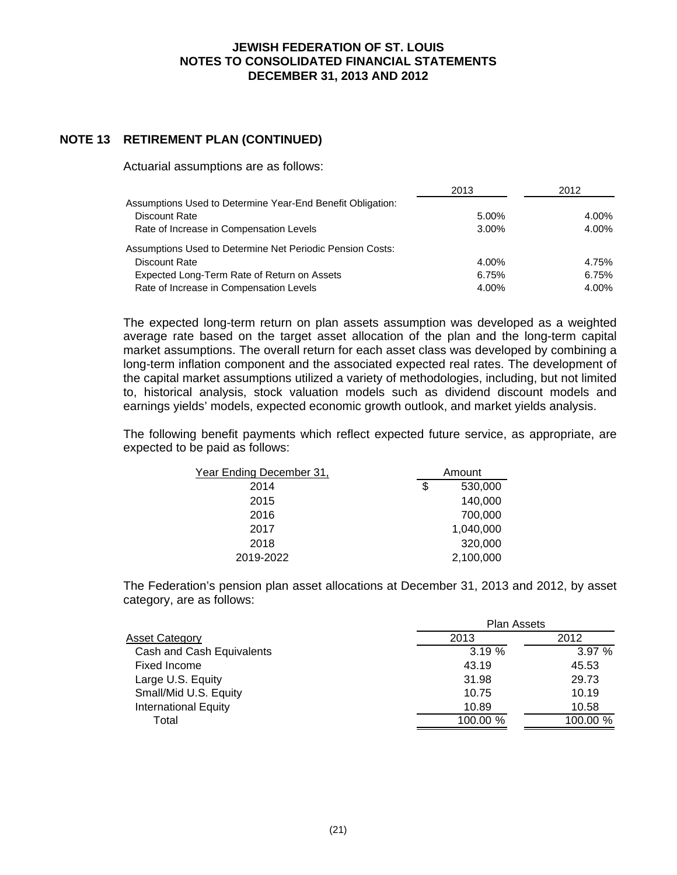# **NOTE 13 RETIREMENT PLAN (CONTINUED)**

Actuarial assumptions are as follows:

|                                                            | 2013     | 2012  |
|------------------------------------------------------------|----------|-------|
| Assumptions Used to Determine Year-End Benefit Obligation: |          |       |
| <b>Discount Rate</b>                                       | 5.00%    | 4.00% |
| Rate of Increase in Compensation Levels                    | $3.00\%$ | 4.00% |
| Assumptions Used to Determine Net Periodic Pension Costs:  |          |       |
| Discount Rate                                              | 4.00%    | 4.75% |
| Expected Long-Term Rate of Return on Assets                | 6.75%    | 6.75% |
| Rate of Increase in Compensation Levels                    | 4.00%    | 4.00% |

The expected long-term return on plan assets assumption was developed as a weighted average rate based on the target asset allocation of the plan and the long-term capital market assumptions. The overall return for each asset class was developed by combining a long-term inflation component and the associated expected real rates. The development of the capital market assumptions utilized a variety of methodologies, including, but not limited to, historical analysis, stock valuation models such as dividend discount models and earnings yields' models, expected economic growth outlook, and market yields analysis.

The following benefit payments which reflect expected future service, as appropriate, are expected to be paid as follows:

| Year Ending December 31, | Amount        |  |
|--------------------------|---------------|--|
| 2014                     | \$<br>530,000 |  |
| 2015                     | 140,000       |  |
| 2016                     | 700,000       |  |
| 2017                     | 1,040,000     |  |
| 2018                     | 320,000       |  |
| 2019-2022                | 2,100,000     |  |
|                          |               |  |

The Federation's pension plan asset allocations at December 31, 2013 and 2012, by asset category, are as follows:

|                             | <b>Plan Assets</b> |          |  |  |  |  |  |
|-----------------------------|--------------------|----------|--|--|--|--|--|
| <b>Asset Category</b>       | 2013               | 2012     |  |  |  |  |  |
| Cash and Cash Equivalents   | 3.19%              | 3.97%    |  |  |  |  |  |
| Fixed Income                | 43.19              | 45.53    |  |  |  |  |  |
| Large U.S. Equity           | 31.98              | 29.73    |  |  |  |  |  |
| Small/Mid U.S. Equity       | 10.75              | 10.19    |  |  |  |  |  |
| <b>International Equity</b> | 10.89              | 10.58    |  |  |  |  |  |
| Total                       | 100.00 %           | 100.00 % |  |  |  |  |  |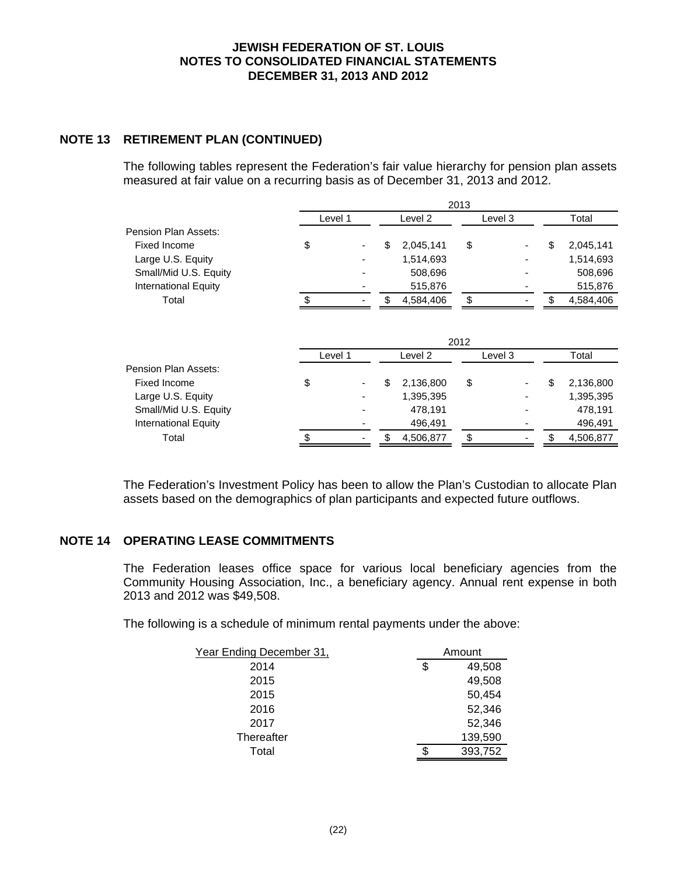## **NOTE 13 RETIREMENT PLAN (CONTINUED)**

The following tables represent the Federation's fair value hierarchy for pension plan assets measured at fair value on a recurring basis as of December 31, 2013 and 2012.

|                             |         | 2013 |    |           |    |         |       |           |  |  |
|-----------------------------|---------|------|----|-----------|----|---------|-------|-----------|--|--|
|                             | Level 1 |      |    | Level 2   |    | Level 3 | Total |           |  |  |
| Pension Plan Assets:        |         |      |    |           |    |         |       |           |  |  |
| Fixed Income                | \$      |      | \$ | 2,045,141 | \$ |         | \$    | 2,045,141 |  |  |
| Large U.S. Equity           |         |      |    | 1,514,693 |    |         |       | 1,514,693 |  |  |
| Small/Mid U.S. Equity       |         |      |    | 508,696   |    |         |       | 508,696   |  |  |
| <b>International Equity</b> |         |      |    | 515,876   |    |         |       | 515,876   |  |  |
| Total                       | ß.      |      | \$ | 4,584,406 | \$ |         | \$    | 4,584,406 |  |  |
|                             | 2012    |      |    |           |    |         |       |           |  |  |
|                             | Level 1 |      |    | Level 2   |    | Level 3 |       | Total     |  |  |
| Pension Plan Assets:        |         |      |    |           |    |         |       |           |  |  |
| Fixed Income                | \$      |      | \$ | 2,136,800 | \$ |         | \$    | 2,136,800 |  |  |
| Large U.S. Equity           |         |      |    | 1,395,395 |    |         |       | 1,395,395 |  |  |
| Small/Mid U.S. Equity       |         |      |    | 478,191   |    |         |       | 478,191   |  |  |
| <b>International Equity</b> |         |      |    | 496,491   |    |         |       | 496,491   |  |  |
| Total                       | \$      |      |    | 4,506,877 | \$ |         | \$    | 4,506,877 |  |  |

The Federation's Investment Policy has been to allow the Plan's Custodian to allocate Plan assets based on the demographics of plan participants and expected future outflows.

### **NOTE 14 OPERATING LEASE COMMITMENTS**

The Federation leases office space for various local beneficiary agencies from the Community Housing Association, Inc., a beneficiary agency. Annual rent expense in both 2013 and 2012 was \$49,508.

The following is a schedule of minimum rental payments under the above:

| Year Ending December 31, | Amount       |
|--------------------------|--------------|
| 2014                     | \$<br>49,508 |
| 2015                     | 49,508       |
| 2015                     | 50,454       |
| 2016                     | 52,346       |
| 2017                     | 52,346       |
| Thereafter               | 139,590      |
| Total                    | 393,752      |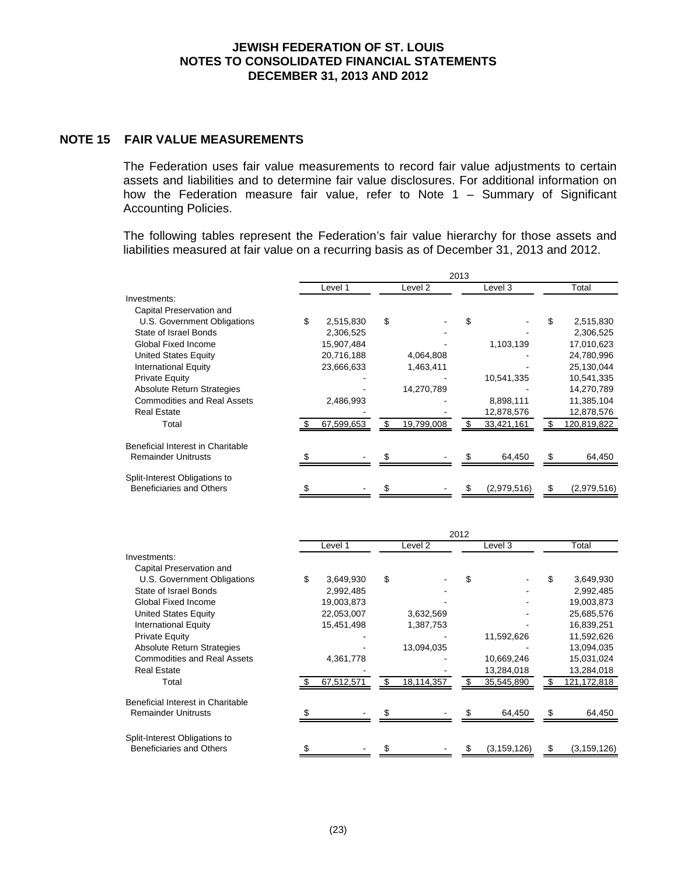#### **NOTE 15 FAIR VALUE MEASUREMENTS**

The Federation uses fair value measurements to record fair value adjustments to certain assets and liabilities and to determine fair value disclosures. For additional information on how the Federation measure fair value, refer to Note 1 – Summary of Significant Accounting Policies.

The following tables represent the Federation's fair value hierarchy for those assets and liabilities measured at fair value on a recurring basis as of December 31, 2013 and 2012.

|                                    | 2013 |            |    |            |  |             |    |             |  |  |
|------------------------------------|------|------------|----|------------|--|-------------|----|-------------|--|--|
|                                    |      | Level 1    |    | Level 2    |  | Level 3     |    | Total       |  |  |
| Investments:                       |      |            |    |            |  |             |    |             |  |  |
| Capital Preservation and           |      |            |    |            |  |             |    |             |  |  |
| U.S. Government Obligations        | \$   | 2,515,830  | \$ |            |  |             | \$ | 2,515,830   |  |  |
| State of Israel Bonds              |      | 2,306,525  |    |            |  |             |    | 2,306,525   |  |  |
| Global Fixed Income                |      | 15,907,484 |    |            |  | 1,103,139   |    | 17,010,623  |  |  |
| <b>United States Equity</b>        |      | 20,716,188 |    | 4,064,808  |  |             |    | 24,780,996  |  |  |
| <b>International Equity</b>        |      | 23,666,633 |    | 1,463,411  |  |             |    | 25,130,044  |  |  |
| <b>Private Equity</b>              |      |            |    |            |  | 10,541,335  |    | 10,541,335  |  |  |
| <b>Absolute Return Strategies</b>  |      |            |    | 14,270,789 |  |             |    | 14,270,789  |  |  |
| <b>Commodities and Real Assets</b> |      | 2,486,993  |    |            |  | 8,898,111   |    | 11,385,104  |  |  |
| <b>Real Estate</b>                 |      |            |    |            |  | 12,878,576  |    | 12,878,576  |  |  |
| Total                              |      | 67,599,653 |    | 19,799,008 |  | 33,421,161  |    | 120,819,822 |  |  |
| Beneficial Interest in Charitable  |      |            |    |            |  |             |    |             |  |  |
| <b>Remainder Unitrusts</b>         |      |            |    |            |  | 64,450      | \$ | 64,450      |  |  |
| Split-Interest Obligations to      |      |            |    |            |  |             |    |             |  |  |
| Beneficiaries and Others           |      |            |    |            |  | (2,979,516) | \$ | (2,979,516) |  |  |

|                                    | 2012            |    |            |    |               |    |             |  |  |  |  |
|------------------------------------|-----------------|----|------------|----|---------------|----|-------------|--|--|--|--|
|                                    | Level 1         |    | Level 2    |    | Level 3       |    | Total       |  |  |  |  |
| Investments:                       |                 |    |            |    |               |    |             |  |  |  |  |
| Capital Preservation and           |                 |    |            |    |               |    |             |  |  |  |  |
| U.S. Government Obligations        | \$<br>3,649,930 | \$ |            | \$ |               | \$ | 3,649,930   |  |  |  |  |
| State of Israel Bonds              | 2,992,485       |    |            |    |               |    | 2,992,485   |  |  |  |  |
| Global Fixed Income                | 19,003,873      |    |            |    |               |    | 19,003,873  |  |  |  |  |
| <b>United States Equity</b>        | 22,053,007      |    | 3,632,569  |    |               |    | 25,685,576  |  |  |  |  |
| <b>International Equity</b>        | 15,451,498      |    | 1,387,753  |    |               |    | 16,839,251  |  |  |  |  |
| <b>Private Equity</b>              |                 |    |            |    | 11,592,626    |    | 11,592,626  |  |  |  |  |
| Absolute Return Strategies         |                 |    | 13,094,035 |    |               |    | 13,094,035  |  |  |  |  |
| <b>Commodities and Real Assets</b> | 4,361,778       |    |            |    | 10,669,246    |    | 15,031,024  |  |  |  |  |
| <b>Real Estate</b>                 |                 |    |            |    | 13,284,018    |    | 13,284,018  |  |  |  |  |
| Total                              | 67,512,571      | S. | 18,114,357 |    | 35,545,890    |    | 121,172,818 |  |  |  |  |
| Beneficial Interest in Charitable  |                 |    |            |    |               |    |             |  |  |  |  |
| <b>Remainder Unitrusts</b>         |                 |    |            |    | 64,450        | S  | 64,450      |  |  |  |  |
|                                    |                 |    |            |    |               |    |             |  |  |  |  |
| Split-Interest Obligations to      |                 |    |            |    |               |    |             |  |  |  |  |
| Beneficiaries and Others           |                 |    |            | S  | (3, 159, 126) | \$ | (3,159,126) |  |  |  |  |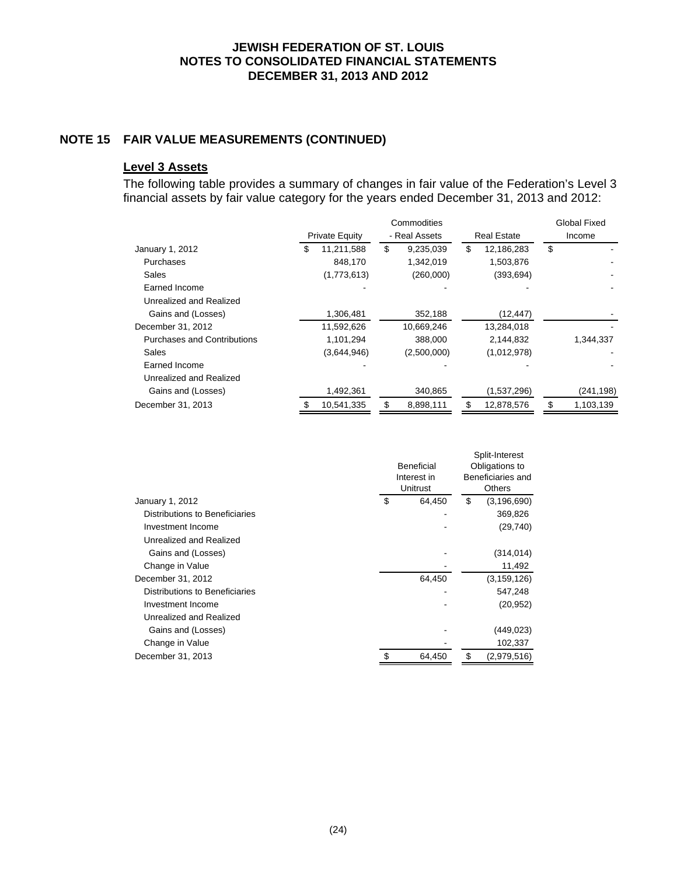# **NOTE 15 FAIR VALUE MEASUREMENTS (CONTINUED)**

### **Level 3 Assets**

The following table provides a summary of changes in fair value of the Federation's Level 3 financial assets by fair value category for the years ended December 31, 2013 and 2012:

|                                    | Commodities     |                       |    |               |    |                    |        | Global Fixed |  |
|------------------------------------|-----------------|-----------------------|----|---------------|----|--------------------|--------|--------------|--|
|                                    |                 | <b>Private Equity</b> |    | - Real Assets |    | <b>Real Estate</b> | Income |              |  |
| January 1, 2012                    | 11,211,588<br>S |                       | \$ | 9,235,039     | \$ | 12,186,283         |        |              |  |
| Purchases                          |                 | 848,170               |    | 1,342,019     |    | 1,503,876          |        |              |  |
| Sales                              |                 | (1,773,613)           |    | (260,000)     |    | (393, 694)         |        |              |  |
| Earned Income                      |                 |                       |    |               |    |                    |        |              |  |
| Unrealized and Realized            |                 |                       |    |               |    |                    |        |              |  |
| Gains and (Losses)                 |                 | 1,306,481             |    | 352,188       |    | (12, 447)          |        |              |  |
| December 31, 2012                  |                 | 11,592,626            |    | 10,669,246    |    | 13,284,018         |        |              |  |
| <b>Purchases and Contributions</b> |                 | 1,101,294             |    | 388,000       |    | 2,144,832          |        | 1,344,337    |  |
| Sales                              |                 | (3,644,946)           |    | (2,500,000)   |    | (1,012,978)        |        |              |  |
| Earned Income                      |                 |                       |    |               |    |                    |        |              |  |
| Unrealized and Realized            |                 |                       |    |               |    |                    |        |              |  |
| Gains and (Losses)                 |                 | 1,492,361             |    | 340,865       |    | (1,537,296)        |        | (241, 198)   |  |
| December 31, 2013                  |                 | 10.541.335            | S  | 8.898.111     | \$ | 12,878,576         | \$     | 1,103,139    |  |

|                                |                   | Split-Interest |                   |  |
|--------------------------------|-------------------|----------------|-------------------|--|
|                                | <b>Beneficial</b> |                | Obligations to    |  |
|                                | Interest in       |                | Beneficiaries and |  |
|                                | Unitrust          |                | <b>Others</b>     |  |
| January 1, 2012                | \$<br>64,450      | \$             | (3, 196, 690)     |  |
| Distributions to Beneficiaries |                   |                | 369,826           |  |
| Investment Income              |                   |                | (29, 740)         |  |
| Unrealized and Realized        |                   |                |                   |  |
| Gains and (Losses)             |                   |                | (314, 014)        |  |
| Change in Value                |                   |                | 11,492            |  |
| December 31, 2012              | 64,450            |                | (3, 159, 126)     |  |
| Distributions to Beneficiaries |                   |                | 547,248           |  |
| Investment Income              |                   |                | (20, 952)         |  |
| Unrealized and Realized        |                   |                |                   |  |
| Gains and (Losses)             |                   |                | (449,023)         |  |
| Change in Value                |                   |                | 102,337           |  |
| December 31, 2013              | 64.450            | S              | (2,979,516)       |  |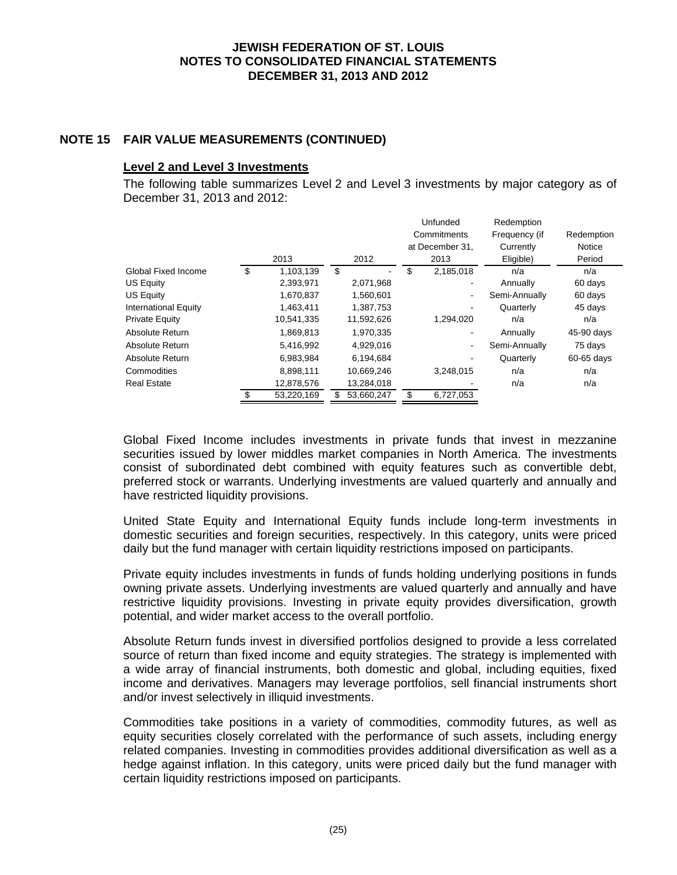### **NOTE 15 FAIR VALUE MEASUREMENTS (CONTINUED)**

#### **Level 2 and Level 3 Investments**

The following table summarizes Level 2 and Level 3 investments by major category as of December 31, 2013 and 2012:

|                             |                  |            | Unfunded                 | Redemption    |            |
|-----------------------------|------------------|------------|--------------------------|---------------|------------|
|                             |                  |            | Commitments              | Frequency (if | Redemption |
|                             |                  |            | at December 31,          | Currently     | Notice     |
|                             | 2013             | 2012       | 2013                     | Eligible)     | Period     |
| Global Fixed Income         | \$<br>1,103,139  | \$         | \$<br>2,185,018          | n/a           | n/a        |
| US Equity                   | 2,393,971        | 2,071,968  | $\overline{\phantom{0}}$ | Annually      | 60 days    |
| US Equity                   | 1,670,837        | 1,560,601  |                          | Semi-Annually | 60 days    |
| <b>International Equity</b> | 1,463,411        | 1,387,753  |                          | Quarterly     | 45 days    |
| Private Equity              | 10,541,335       | 11,592,626 | 1,294,020                | n/a           | n/a        |
| Absolute Return             | 1,869,813        | 1,970,335  |                          | Annually      | 45-90 days |
| Absolute Return             | 5.416.992        | 4,929,016  |                          | Semi-Annually | 75 days    |
| Absolute Return             | 6,983,984        | 6,194,684  |                          | Quarterly     | 60-65 days |
| Commodities                 | 8.898.111        | 10,669,246 | 3,248,015                | n/a           | n/a        |
| Real Estate                 | 12,878,576       | 13,284,018 |                          | n/a           | n/a        |
|                             | \$<br>53,220,169 | 53,660,247 | \$<br>6,727,053          |               |            |

Global Fixed Income includes investments in private funds that invest in mezzanine securities issued by lower middles market companies in North America. The investments consist of subordinated debt combined with equity features such as convertible debt, preferred stock or warrants. Underlying investments are valued quarterly and annually and have restricted liquidity provisions.

United State Equity and International Equity funds include long-term investments in domestic securities and foreign securities, respectively. In this category, units were priced daily but the fund manager with certain liquidity restrictions imposed on participants.

Private equity includes investments in funds of funds holding underlying positions in funds owning private assets. Underlying investments are valued quarterly and annually and have restrictive liquidity provisions. Investing in private equity provides diversification, growth potential, and wider market access to the overall portfolio.

Absolute Return funds invest in diversified portfolios designed to provide a less correlated source of return than fixed income and equity strategies. The strategy is implemented with a wide array of financial instruments, both domestic and global, including equities, fixed income and derivatives. Managers may leverage portfolios, sell financial instruments short and/or invest selectively in illiquid investments.

Commodities take positions in a variety of commodities, commodity futures, as well as equity securities closely correlated with the performance of such assets, including energy related companies. Investing in commodities provides additional diversification as well as a hedge against inflation. In this category, units were priced daily but the fund manager with certain liquidity restrictions imposed on participants.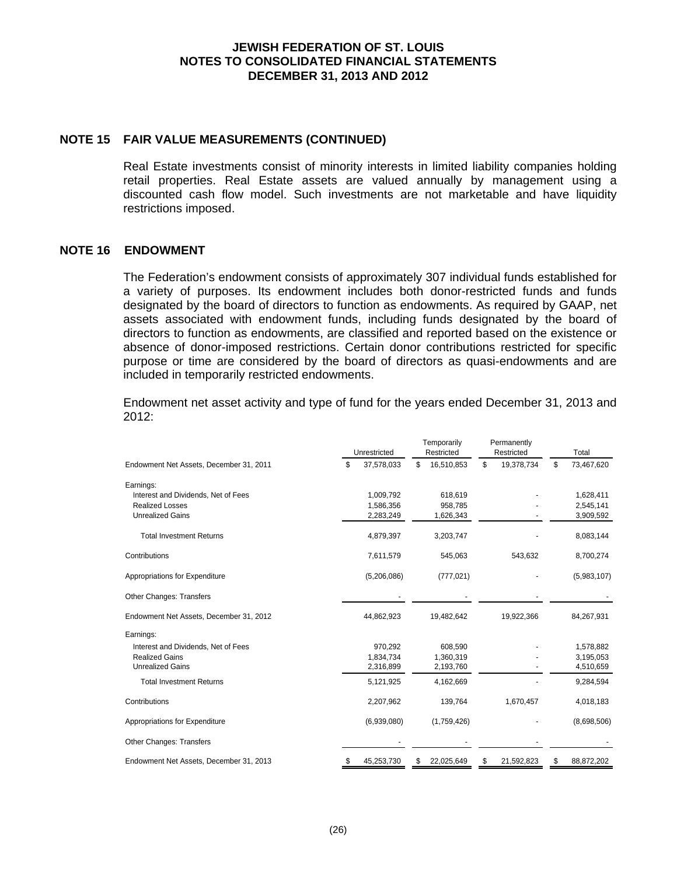#### **NOTE 15 FAIR VALUE MEASUREMENTS (CONTINUED)**

Real Estate investments consist of minority interests in limited liability companies holding retail properties. Real Estate assets are valued annually by management using a discounted cash flow model. Such investments are not marketable and have liquidity restrictions imposed.

#### **NOTE 16 ENDOWMENT**

The Federation's endowment consists of approximately 307 individual funds established for a variety of purposes. Its endowment includes both donor-restricted funds and funds designated by the board of directors to function as endowments. As required by GAAP, net assets associated with endowment funds, including funds designated by the board of directors to function as endowments, are classified and reported based on the existence or absence of donor-imposed restrictions. Certain donor contributions restricted for specific purpose or time are considered by the board of directors as quasi-endowments and are included in temporarily restricted endowments.

Endowment net asset activity and type of fund for the years ended December 31, 2013 and 2012:

|                                         | Unrestricted |             | Temporarily<br>Restricted |    | Permanently<br>Restricted | Total            |
|-----------------------------------------|--------------|-------------|---------------------------|----|---------------------------|------------------|
| Endowment Net Assets, December 31, 2011 | \$           | 37,578,033  | \$<br>16,510,853          | \$ | 19,378,734                | \$<br>73,467,620 |
| Earnings:                               |              |             |                           |    |                           |                  |
| Interest and Dividends, Net of Fees     |              | 1,009,792   | 618,619                   |    |                           | 1,628,411        |
| <b>Realized Losses</b>                  |              | 1,586,356   | 958,785                   |    |                           | 2,545,141        |
| <b>Unrealized Gains</b>                 |              | 2,283,249   | 1,626,343                 |    |                           | 3,909,592        |
| <b>Total Investment Returns</b>         |              | 4,879,397   | 3,203,747                 |    |                           | 8,083,144        |
| Contributions                           |              | 7,611,579   | 545,063                   |    | 543,632                   | 8,700,274        |
| Appropriations for Expenditure          |              | (5,206,086) | (777, 021)                |    |                           | (5,983,107)      |
| <b>Other Changes: Transfers</b>         |              |             |                           |    |                           |                  |
| Endowment Net Assets, December 31, 2012 |              | 44,862,923  | 19,482,642                |    | 19,922,366                | 84,267,931       |
| Earnings:                               |              |             |                           |    |                           |                  |
| Interest and Dividends, Net of Fees     |              | 970,292     | 608,590                   |    |                           | 1,578,882        |
| <b>Realized Gains</b>                   |              | 1,834,734   | 1,360,319                 |    |                           | 3,195,053        |
| <b>Unrealized Gains</b>                 |              | 2,316,899   | 2,193,760                 |    |                           | 4,510,659        |
| <b>Total Investment Returns</b>         |              | 5,121,925   | 4,162,669                 |    |                           | 9,284,594        |
| Contributions                           |              | 2,207,962   | 139,764                   |    | 1,670,457                 | 4,018,183        |
| Appropriations for Expenditure          |              | (6,939,080) | (1,759,426)               |    |                           | (8,698,506)      |
| <b>Other Changes: Transfers</b>         |              |             |                           |    |                           |                  |
| Endowment Net Assets, December 31, 2013 | \$           | 45,253,730  | 22,025,649<br>S           | S  | 21,592,823                | \$<br>88,872,202 |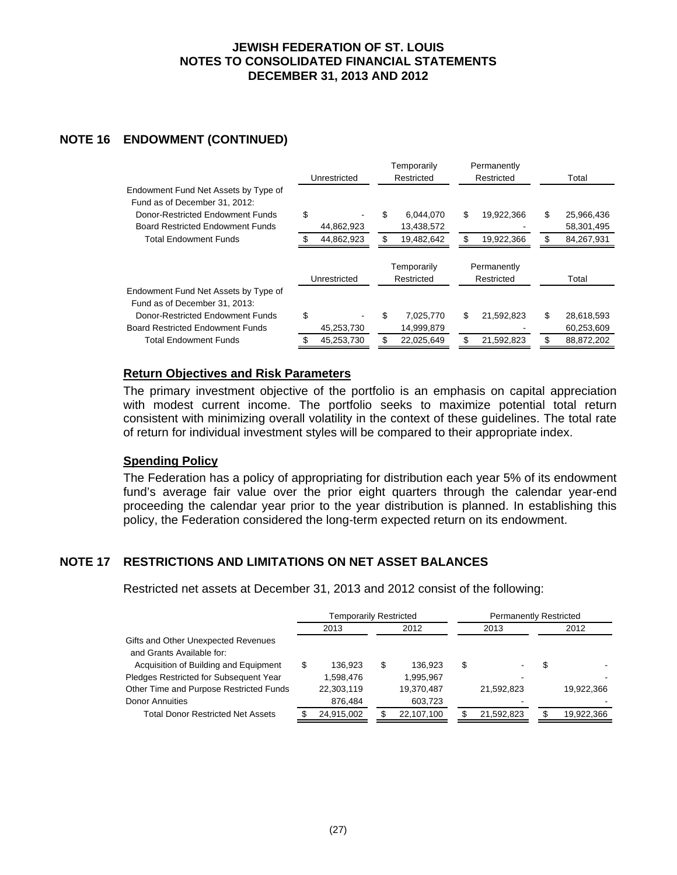# **NOTE 16 ENDOWMENT (CONTINUED)**

|                                                                       |              |              | Temporarily |             | Permanently |             |       |            |
|-----------------------------------------------------------------------|--------------|--------------|-------------|-------------|-------------|-------------|-------|------------|
|                                                                       | Unrestricted |              |             | Restricted  |             | Restricted  | Total |            |
| Endowment Fund Net Assets by Type of<br>Fund as of December 31, 2012: |              |              |             |             |             |             |       |            |
| Donor-Restricted Endowment Funds                                      | \$           |              | \$          | 6.044.070   | \$          | 19,922,366  | \$    | 25,966,436 |
| <b>Board Restricted Endowment Funds</b>                               |              | 44,862,923   |             | 13,438,572  |             |             |       | 58,301,495 |
| <b>Total Endowment Funds</b>                                          |              | 44,862,923   | \$          | 19,482,642  | \$          | 19,922,366  | \$    | 84,267,931 |
|                                                                       |              |              |             | Temporarily |             | Permanently |       |            |
|                                                                       |              | Unrestricted |             | Restricted  |             | Restricted  | Total |            |
| Endowment Fund Net Assets by Type of<br>Fund as of December 31, 2013: |              |              |             |             |             |             |       |            |
| Donor-Restricted Endowment Funds                                      | \$           |              | \$          | 7,025,770   | \$          | 21,592,823  | \$    | 28,618,593 |
| <b>Board Restricted Endowment Funds</b>                               |              | 45,253,730   |             | 14,999,879  |             |             |       | 60,253,609 |
| <b>Total Endowment Funds</b>                                          |              | 45,253,730   |             | 22,025,649  | \$          | 21,592,823  | \$    | 88,872,202 |

#### **Return Objectives and Risk Parameters**

The primary investment objective of the portfolio is an emphasis on capital appreciation with modest current income. The portfolio seeks to maximize potential total return consistent with minimizing overall volatility in the context of these guidelines. The total rate of return for individual investment styles will be compared to their appropriate index.

#### **Spending Policy**

The Federation has a policy of appropriating for distribution each year 5% of its endowment fund's average fair value over the prior eight quarters through the calendar year-end proceeding the calendar year prior to the year distribution is planned. In establishing this policy, the Federation considered the long-term expected return on its endowment.

# **NOTE 17 RESTRICTIONS AND LIMITATIONS ON NET ASSET BALANCES**

Restricted net assets at December 31, 2013 and 2012 consist of the following:

|                                                                  | <b>Temporarily Restricted</b> |    |            |    | <b>Permanently Restricted</b> |    |            |  |
|------------------------------------------------------------------|-------------------------------|----|------------|----|-------------------------------|----|------------|--|
|                                                                  | 2013                          |    | 2012       |    | 2013                          |    | 2012       |  |
| Gifts and Other Unexpected Revenues<br>and Grants Available for: |                               |    |            |    |                               |    |            |  |
| Acquisition of Building and Equipment                            | 136.923                       | \$ | 136.923    | \$ |                               | \$ |            |  |
| Pledges Restricted for Subsequent Year                           | 1,598,476                     |    | 1,995,967  |    |                               |    |            |  |
| Other Time and Purpose Restricted Funds                          | 22,303,119                    |    | 19,370,487 |    | 21,592,823                    |    | 19.922.366 |  |
| <b>Donor Annuities</b>                                           | 876,484                       |    | 603,723    |    |                               |    |            |  |
| <b>Total Donor Restricted Net Assets</b>                         | 24,915,002                    |    | 22,107,100 |    | 21,592,823                    |    | 19,922,366 |  |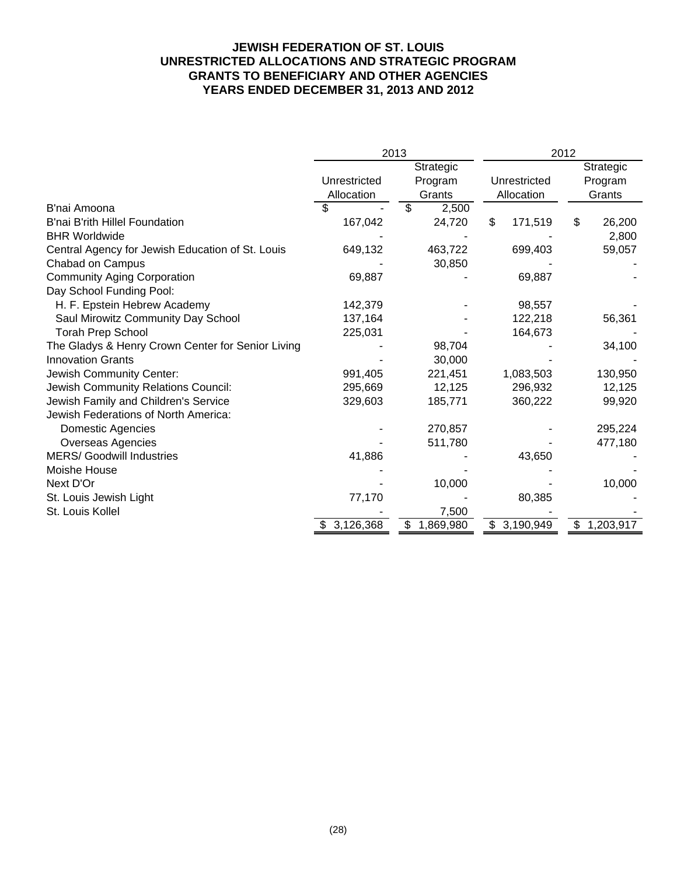# **JEWISH FEDERATION OF ST. LOUIS UNRESTRICTED ALLOCATIONS AND STRATEGIC PROGRAM GRANTS TO BENEFICIARY AND OTHER AGENCIES YEARS ENDED DECEMBER 31, 2013 AND 2012**

|                                                   |              | 2013           | 2012           |                 |  |  |
|---------------------------------------------------|--------------|----------------|----------------|-----------------|--|--|
|                                                   |              | Strategic      |                | Strategic       |  |  |
|                                                   | Unrestricted | Program        | Unrestricted   | Program         |  |  |
|                                                   | Allocation   | Grants         | Allocation     | Grants          |  |  |
| B'nai Amoona                                      |              | \$<br>2,500    |                |                 |  |  |
| B'nai B'rith Hillel Foundation                    | 167,042      | 24,720         | \$<br>171,519  | \$<br>26,200    |  |  |
| <b>BHR Worldwide</b>                              |              |                |                | 2,800           |  |  |
| Central Agency for Jewish Education of St. Louis  | 649,132      | 463,722        | 699,403        | 59,057          |  |  |
| Chabad on Campus                                  |              | 30,850         |                |                 |  |  |
| <b>Community Aging Corporation</b>                | 69,887       |                | 69,887         |                 |  |  |
| Day School Funding Pool:                          |              |                |                |                 |  |  |
| H. F. Epstein Hebrew Academy                      | 142,379      |                | 98,557         |                 |  |  |
| Saul Mirowitz Community Day School                | 137,164      |                | 122,218        | 56,361          |  |  |
| <b>Torah Prep School</b>                          | 225,031      |                | 164,673        |                 |  |  |
| The Gladys & Henry Crown Center for Senior Living |              | 98,704         |                | 34,100          |  |  |
| <b>Innovation Grants</b>                          |              | 30,000         |                |                 |  |  |
| Jewish Community Center:                          | 991,405      | 221,451        | 1,083,503      | 130,950         |  |  |
| Jewish Community Relations Council:               | 295,669      | 12,125         | 296,932        | 12,125          |  |  |
| Jewish Family and Children's Service              | 329,603      | 185,771        | 360,222        | 99,920          |  |  |
| Jewish Federations of North America:              |              |                |                |                 |  |  |
| Domestic Agencies                                 |              | 270,857        |                | 295,224         |  |  |
| <b>Overseas Agencies</b>                          |              | 511,780        |                | 477,180         |  |  |
| <b>MERS/ Goodwill Industries</b>                  | 41,886       |                | 43,650         |                 |  |  |
| Moishe House                                      |              |                |                |                 |  |  |
| Next D'Or                                         |              | 10,000         |                | 10,000          |  |  |
| St. Louis Jewish Light                            | 77,170       |                | 80,385         |                 |  |  |
| St. Louis Kollel                                  |              | 7,500          |                |                 |  |  |
|                                                   | 3,126,368    | 1,869,980<br>S | 3,190,949<br>S | 1,203,917<br>\$ |  |  |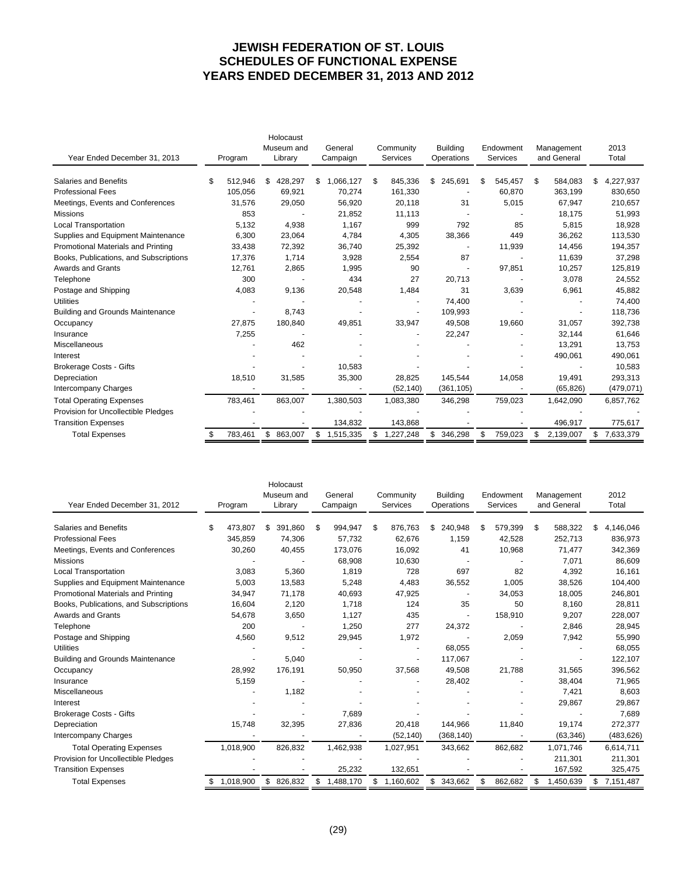# **JEWISH FEDERATION OF ST. LOUIS SCHEDULES OF FUNCTIONAL EXPENSE YEARS ENDED DECEMBER 31, 2013 AND 2012**

|                                         |              | Holocaust     |                 |                 |                 |                 |                 |                 |
|-----------------------------------------|--------------|---------------|-----------------|-----------------|-----------------|-----------------|-----------------|-----------------|
|                                         |              | Museum and    | General         | Community       | <b>Building</b> | Endowment       | Management      | 2013            |
| Year Ended December 31, 2013            | Program      | Library       | Campaign        | Services        | Operations      | <b>Services</b> | and General     | Total           |
| Salaries and Benefits                   | 512,946<br>S | 428,297<br>S  | 1,066,127<br>\$ | 845,336<br>-S   | 245,691<br>\$   | 545,457<br>S    | 584,083<br>S    | 4,227,937<br>S  |
| <b>Professional Fees</b>                | 105,056      | 69,921        | 70,274          | 161,330         |                 | 60,870          | 363,199         | 830,650         |
| Meetings, Events and Conferences        | 31,576       | 29,050        | 56,920          | 20,118          | 31              | 5,015           | 67,947          | 210,657         |
| <b>Missions</b>                         | 853          |               | 21,852          | 11,113          |                 |                 | 18,175          | 51,993          |
| <b>Local Transportation</b>             | 5,132        | 4,938         | 1,167           | 999             | 792             | 85              | 5,815           | 18,928          |
| Supplies and Equipment Maintenance      | 6,300        | 23,064        | 4.784           | 4,305           | 38,366          | 449             | 36,262          | 113,530         |
| Promotional Materials and Printing      | 33,438       | 72,392        | 36,740          | 25,392          |                 | 11,939          | 14,456          | 194,357         |
| Books, Publications, and Subscriptions  | 17,376       | 1,714         | 3,928           | 2,554           | 87              |                 | 11,639          | 37,298          |
| <b>Awards and Grants</b>                | 12,761       | 2,865         | 1,995           | 90              |                 | 97,851          | 10,257          | 125,819         |
| Telephone                               | 300          |               | 434             | 27              | 20,713          |                 | 3,078           | 24,552          |
| Postage and Shipping                    | 4,083        | 9,136         | 20,548          | 1,484           | 31              | 3,639           | 6,961           | 45,882          |
| <b>Utilities</b>                        |              |               |                 |                 | 74,400          |                 |                 | 74,400          |
| <b>Building and Grounds Maintenance</b> |              | 8,743         |                 |                 | 109,993         |                 |                 | 118,736         |
| Occupancy                               | 27,875       | 180,840       | 49,851          | 33,947          | 49,508          | 19,660          | 31,057          | 392,738         |
| Insurance                               | 7,255        |               |                 |                 | 22,247          |                 | 32,144          | 61,646          |
| <b>Miscellaneous</b>                    |              | 462           |                 |                 |                 |                 | 13,291          | 13,753          |
| Interest                                |              |               |                 |                 |                 |                 | 490,061         | 490,061         |
| <b>Brokerage Costs - Gifts</b>          |              |               | 10,583          |                 |                 |                 |                 | 10,583          |
| Depreciation                            | 18,510       | 31,585        | 35,300          | 28,825          | 145,544         | 14,058          | 19,491          | 293,313         |
| Intercompany Charges                    |              |               |                 | (52, 140)       | (361, 105)      |                 | (65, 826)       | (479, 071)      |
| <b>Total Operating Expenses</b>         | 783,461      | 863,007       | 1,380,503       | 1,083,380       | 346,298         | 759,023         | 1,642,090       | 6,857,762       |
| Provision for Uncollectible Pledges     |              |               |                 |                 |                 |                 |                 |                 |
| <b>Transition Expenses</b>              |              |               | 134,832         | 143,868         |                 |                 | 496,917         | 775,617         |
| <b>Total Expenses</b>                   | 783,461      | \$<br>863,007 | 1,515,335<br>\$ | 1,227,248<br>\$ | \$ 346,298      | 759,023<br>\$   | \$<br>2,139,007 | 7,633,379<br>\$ |

|                                         |    |           |    | Holocaust  |    |           |    |                |                 |           |                 |            |             |    |            |
|-----------------------------------------|----|-----------|----|------------|----|-----------|----|----------------|-----------------|-----------|-----------------|------------|-------------|----|------------|
|                                         |    |           |    | Museum and |    | General   |    | Community      | <b>Building</b> | Endowment |                 | Management |             |    | 2012       |
| Year Ended December 31, 2012            |    | Program   |    | Library    |    | Campaign  |    | Services       | Operations      |           | <b>Services</b> |            | and General |    | Total      |
| Salaries and Benefits                   | \$ | 473,807   | \$ | 391,860    | \$ | 994,947   | \$ | 876,763        | \$<br>240,948   | \$        | 579,399         | \$         | 588,322     | \$ | 4,146,046  |
| <b>Professional Fees</b>                |    | 345,859   |    | 74,306     |    | 57,732    |    | 62,676         | 1,159           |           | 42,528          |            | 252,713     |    | 836,973    |
| Meetings, Events and Conferences        |    | 30,260    |    | 40,455     |    | 173,076   |    | 16,092         | 41              |           | 10,968          |            | 71,477      |    | 342,369    |
| <b>Missions</b>                         |    |           |    |            |    | 68,908    |    | 10,630         |                 |           |                 |            | 7,071       |    | 86,609     |
| <b>Local Transportation</b>             |    | 3,083     |    | 5,360      |    | 1,819     |    | 728            | 697             |           | 82              |            | 4,392       |    | 16,161     |
| Supplies and Equipment Maintenance      |    | 5,003     |    | 13,583     |    | 5,248     |    | 4,483          | 36,552          |           | 1.005           |            | 38,526      |    | 104,400    |
| Promotional Materials and Printing      |    | 34,947    |    | 71,178     |    | 40,693    |    | 47,925         |                 |           | 34,053          |            | 18,005      |    | 246,801    |
| Books, Publications, and Subscriptions  |    | 16,604    |    | 2,120      |    | 1.718     |    | 124            | 35              |           | 50              |            | 8,160       |    | 28,811     |
| Awards and Grants                       |    | 54,678    |    | 3,650      |    | 1,127     |    | 435            | $\blacksquare$  |           | 158,910         |            | 9,207       |    | 228,007    |
| Telephone                               |    | 200       |    |            |    | 1,250     |    | 277            | 24,372          |           |                 |            | 2,846       |    | 28,945     |
| Postage and Shipping                    |    | 4,560     |    | 9,512      |    | 29,945    |    | 1,972          |                 |           | 2,059           |            | 7,942       |    | 55,990     |
| <b>Utilities</b>                        |    |           |    |            |    |           |    | $\blacksquare$ | 68,055          |           |                 |            |             |    | 68,055     |
| <b>Building and Grounds Maintenance</b> |    |           |    | 5,040      |    |           |    |                | 117,067         |           |                 |            |             |    | 122,107    |
| Occupancy                               |    | 28,992    |    | 176,191    |    | 50,950    |    | 37,568         | 49,508          |           | 21,788          |            | 31,565      |    | 396,562    |
| Insurance                               |    | 5,159     |    |            |    |           |    |                | 28,402          |           |                 |            | 38,404      |    | 71,965     |
| Miscellaneous                           |    |           |    | 1,182      |    |           |    |                |                 |           |                 |            | 7,421       |    | 8,603      |
| Interest                                |    |           |    |            |    |           |    |                |                 |           |                 |            | 29,867      |    | 29,867     |
| <b>Brokerage Costs - Gifts</b>          |    |           |    |            |    | 7,689     |    |                |                 |           |                 |            |             |    | 7,689      |
| Depreciation                            |    | 15,748    |    | 32,395     |    | 27,836    |    | 20,418         | 144,966         |           | 11,840          |            | 19,174      |    | 272,377    |
| Intercompany Charges                    |    |           |    |            |    |           |    | (52, 140)      | (368, 140)      |           |                 |            | (63, 346)   |    | (483, 626) |
| <b>Total Operating Expenses</b>         |    | 1,018,900 |    | 826,832    |    | 1,462,938 |    | 1,027,951      | 343,662         |           | 862,682         |            | 1,071,746   |    | 6,614,711  |
| Provision for Uncollectible Pledges     |    |           |    |            |    |           |    |                |                 |           |                 |            | 211,301     |    | 211,301    |
| <b>Transition Expenses</b>              |    |           |    |            |    | 25,232    |    | 132,651        |                 |           |                 |            | 167,592     |    | 325,475    |
| <b>Total Expenses</b>                   |    | 1,018,900 | \$ | 826,832    | \$ | 1,488,170 | S  | 1,160,602      | \$<br>343,662   | \$        | 862,682         | \$         | 1,450,639   | S  | 7,151,487  |
|                                         |    |           |    |            |    |           |    |                |                 |           |                 |            |             |    |            |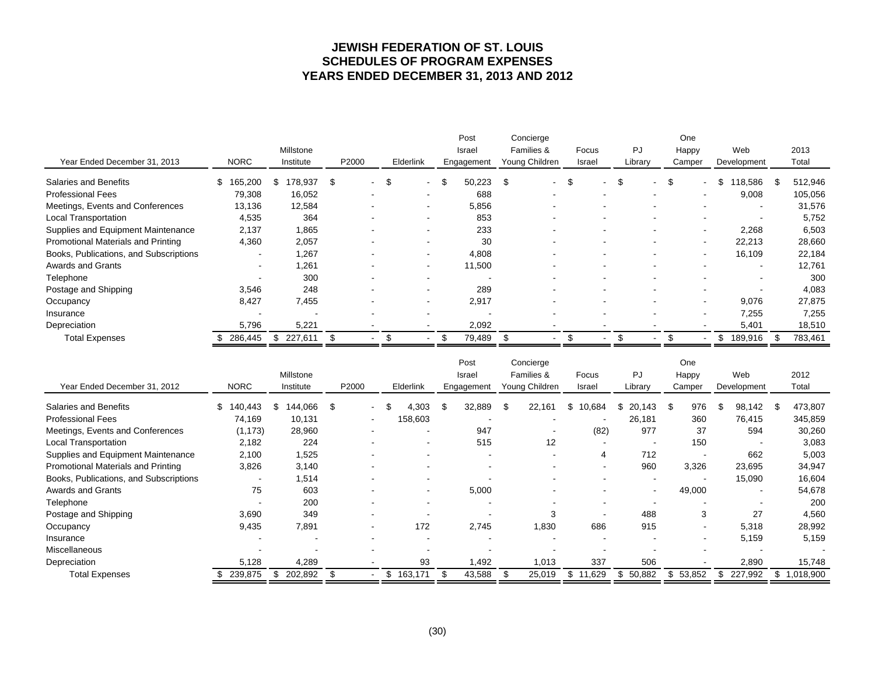#### **JEWISH FEDERATION OF ST. LOUIS SCHEDULES OF PROGRAM EXPENSES YEARS ENDED DECEMBER 31, 2013 AND 2012**

|                                        |                          |               |              |                          | Post         | Concierge                |                |                                  | One                            |                          |         |
|----------------------------------------|--------------------------|---------------|--------------|--------------------------|--------------|--------------------------|----------------|----------------------------------|--------------------------------|--------------------------|---------|
|                                        |                          | Millstone     |              |                          | Israel       | Families &               | Focus          | PJ                               | Happy                          | Web                      | 2013    |
| Year Ended December 31, 2013           | <b>NORC</b>              | Institute     | P2000        | Elderlink                | Engagement   | Young Children           | Israel         | Library                          | Camper                         | Development              | Total   |
| Salaries and Benefits                  | 165.200                  | \$<br>178.937 | \$<br>$\sim$ | \$<br>$\sim$             | \$<br>50,223 | \$<br>$\sim 100$         | - \$<br>$\sim$ | - \$<br>$\overline{\phantom{a}}$ | \$<br>$\overline{\phantom{a}}$ | \$<br>118,586            | 512,946 |
| <b>Professional Fees</b>               | 79,308                   | 16,052        |              | $\overline{\phantom{a}}$ | 688          | $\sim$                   |                | $\overline{\phantom{0}}$         |                                | 9,008                    | 105,056 |
| Meetings, Events and Conferences       | 13,136                   | 12,584        |              | $\overline{\phantom{a}}$ | 5,856        |                          |                |                                  |                                | $\overline{\phantom{a}}$ | 31,576  |
| <b>Local Transportation</b>            | 4,535                    | 364           |              | $\,$                     | 853          |                          |                |                                  |                                | $\overline{\phantom{a}}$ | 5,752   |
| Supplies and Equipment Maintenance     | 2,137                    | l,865         |              | $\overline{\phantom{a}}$ | 233          |                          | $\sim$         | $\sim$                           | $\overline{\phantom{0}}$       | 2,268                    | 6,503   |
| Promotional Materials and Printing     | 4,360                    | 2,057         |              | $\overline{\phantom{a}}$ | 30           |                          |                | $\overline{\phantom{a}}$         | $\overline{\phantom{a}}$       | 22,213                   | 28,660  |
| Books, Publications, and Subscriptions |                          | ,267          |              | ٠                        | 4,808        |                          |                | $\overline{\phantom{a}}$         | $\blacksquare$                 | 16,109                   | 22,184  |
| <b>Awards and Grants</b>               | $\overline{\phantom{a}}$ | ,261          |              | $\overline{\phantom{a}}$ | 11,500       | $\overline{\phantom{a}}$ |                |                                  |                                | $\overline{\phantom{a}}$ | 12,761  |
| Telephone                              | $\overline{\phantom{a}}$ | 300           |              | $\overline{\phantom{a}}$ | <b>.</b>     | $\overline{\phantom{a}}$ |                |                                  |                                | $\overline{\phantom{a}}$ | 300     |
| Postage and Shipping                   | 3,546                    | 248           |              | $\overline{\phantom{a}}$ | 289          |                          |                |                                  |                                |                          | 4,083   |
| Occupancy                              | 8,427                    | 7,455         |              | $\overline{\phantom{a}}$ | 2,917        |                          |                | $\blacksquare$                   |                                | 9,076                    | 27,875  |
| Insurance                              | $\overline{\phantom{a}}$ |               |              | $\overline{\phantom{a}}$ |              |                          |                | $\overline{\phantom{0}}$         |                                | 7,255                    | 7,255   |
| Depreciation                           | 5,796                    | 5,221         |              | $\,$                     | 2,092        |                          |                |                                  |                                | 5,401                    | 18,510  |
| <b>Total Expenses</b>                  | 286,445                  | 227,611<br>\$ |              | $\overline{\phantom{a}}$ | 79,489       | $\sim$                   |                |                                  |                                | 189,916<br>Ъ             | 783,461 |

| Year Ended December 31, 2012           | <b>NORC</b> | Millstone<br>Institute | P2000                    | Elderlink                | Post<br>Israel<br>Engagement | Concierge<br>Families &<br>Young Children | Focus<br>Israel | PJ<br>Library            | One<br>Happy<br>Camper   | Web<br>Development       | 2012<br>Total |
|----------------------------------------|-------------|------------------------|--------------------------|--------------------------|------------------------------|-------------------------------------------|-----------------|--------------------------|--------------------------|--------------------------|---------------|
|                                        |             |                        |                          |                          |                              |                                           |                 |                          |                          |                          |               |
| Salaries and Benefits                  | 140.443     | \$<br>144.066          | S<br>$\sim$              | 4,303                    | 32,889<br>\$.                | 22.161<br>S                               | \$<br>10,684    | 20.143<br>ж              | 976<br>- \$              | \$<br>98,142             | 473,807       |
| <b>Professional Fees</b>               | 74,169      | 10,131                 | $\blacksquare$           | 158,603                  | $\overline{\phantom{a}}$     | $\overline{\phantom{a}}$                  |                 | 26,181                   | 360                      | 76,415                   | 345,859       |
| Meetings, Events and Conferences       | (1, 173)    | 28,960                 |                          | $\,$                     | 947                          | $\overline{\phantom{a}}$                  | (82)            | 977                      | 37                       | 594                      | 30,260        |
| <b>Local Transportation</b>            | 2,182       | 224                    |                          | $\overline{\phantom{a}}$ | 515                          | 12                                        | $\sim$          | $\overline{\phantom{a}}$ | 150                      |                          | 3,083         |
| Supplies and Equipment Maintenance     | 2,100       | 525.                   |                          | $\overline{\phantom{a}}$ | $\overline{\phantom{a}}$     | $\blacksquare$                            | 4               | 712                      | $\overline{\phantom{a}}$ | 662                      | 5,003         |
| Promotional Materials and Printing     | 3,826       | 3.140                  |                          | $\,$                     | $\overline{\phantom{a}}$     | $\overline{\phantom{a}}$                  | $\sim$          | 960                      | 3,326                    | 23,695                   | 34,947        |
| Books, Publications, and Subscriptions | ٠           | 1,514                  |                          | $\overline{\phantom{a}}$ |                              |                                           |                 | $\overline{\phantom{a}}$ |                          | 15,090                   | 16,604        |
| Awards and Grants                      | 75          | 603                    |                          | $\overline{\phantom{a}}$ | 5,000                        |                                           |                 | $\blacksquare$           | 49,000                   | $\overline{\phantom{a}}$ | 54,678        |
| Telephone                              | -           | 200                    |                          | $\,$                     |                              |                                           |                 | $\overline{\phantom{0}}$ |                          | $\overline{\phantom{a}}$ | 200           |
| Postage and Shipping                   | 3,690       | 349                    |                          |                          |                              | 3                                         |                 | 488                      | 3                        | 27                       | 4,560         |
| Occupancy                              | 9,435       | 7,891                  | $\overline{\phantom{a}}$ | 172                      | 2,745                        | 1,830                                     | 686             | 915                      | $\overline{\phantom{a}}$ | 5,318                    | 28,992        |
| Insurance                              |             |                        |                          | $\overline{\phantom{a}}$ |                              |                                           |                 |                          |                          | 5,159                    | 5,159         |
| Miscellaneous                          |             |                        |                          |                          |                              |                                           |                 |                          |                          |                          |               |
| Depreciation                           | 5,128       | 4,289                  |                          | 93                       | 1,492                        | 1,013                                     | 337             | 506                      |                          | 2,890                    | 15,748        |
| <b>Total Expenses</b>                  | 239,875     | 202,892<br>Æ           |                          | \$<br>163,171            | 43,588                       | 25,019                                    | 11,629<br>£.    | 50,882                   | 53,852<br>S              | 227,992                  | 1,018,900     |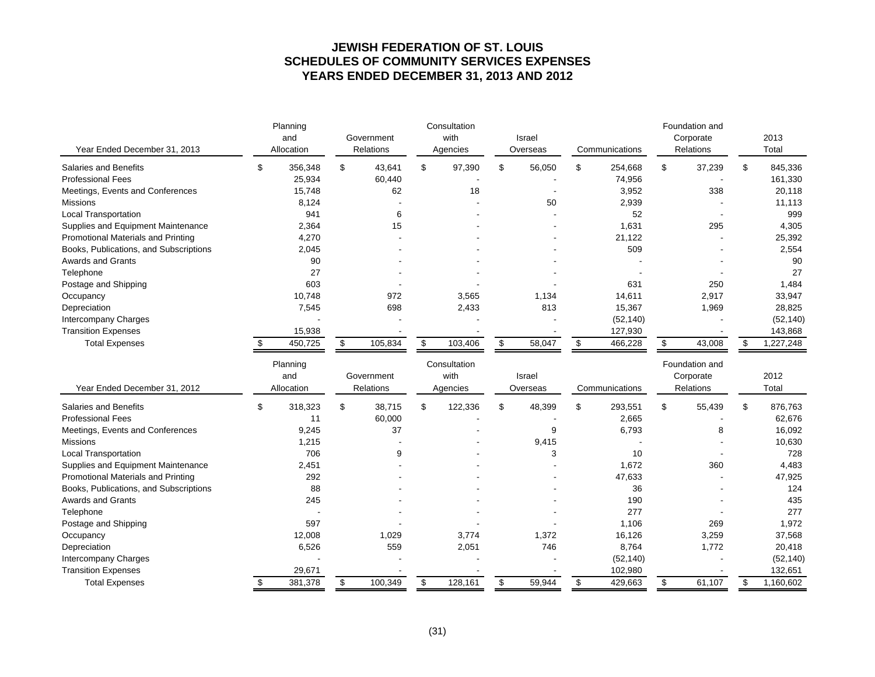#### **JEWISH FEDERATION OF ST. LOUIS SCHEDULES OF COMMUNITY SERVICES EXPENSES YEARS ENDED DECEMBER 31, 2013 AND 2012**

| Year Ended December 31, 2013           | Planning<br>and<br>Allocation |                         | Government<br>Relations |                | Consultation<br>with<br>Agencies |                         | Israel<br>Overseas |              | Communications |           | Foundation and<br>Corporate<br>Relations | 2013<br>Total   |
|----------------------------------------|-------------------------------|-------------------------|-------------------------|----------------|----------------------------------|-------------------------|--------------------|--------------|----------------|-----------|------------------------------------------|-----------------|
| <b>Salaries and Benefits</b>           | \$<br>356,348                 | \$                      | 43,641                  | \$             | 97,390                           | \$                      | 56,050             | \$           | 254,668        | \$        | 37,239                                   | \$<br>845,336   |
| <b>Professional Fees</b>               | 25,934                        |                         | 60,440                  |                |                                  |                         |                    |              | 74,956         |           |                                          | 161,330         |
| Meetings, Events and Conferences       | 15,748                        |                         | 62                      |                | 18                               |                         |                    |              | 3,952          |           | 338                                      | 20,118          |
| <b>Missions</b>                        | 8,124                         |                         |                         |                |                                  |                         | 50                 |              | 2,939          |           |                                          | 11,113          |
| <b>Local Transportation</b>            | 941                           |                         | 6                       |                |                                  |                         |                    |              | 52             |           |                                          | 999             |
| Supplies and Equipment Maintenance     | 2,364                         |                         | 15                      |                |                                  |                         |                    |              | 1,631          |           | 295                                      | 4,305           |
| Promotional Materials and Printing     | 4,270                         |                         |                         |                |                                  |                         |                    |              | 21,122         |           |                                          | 25,392          |
| Books, Publications, and Subscriptions | 2,045                         |                         |                         |                |                                  |                         |                    |              | 509            |           |                                          | 2,554           |
| <b>Awards and Grants</b>               | 90                            |                         |                         |                |                                  |                         |                    |              |                |           |                                          | 90              |
| Telephone                              | 27                            |                         |                         |                |                                  |                         |                    |              |                |           |                                          | 27              |
| Postage and Shipping                   | 603                           |                         |                         |                |                                  |                         |                    |              | 631            |           | 250                                      | 1,484           |
| Occupancy                              | 10,748                        |                         | 972                     |                | 3,565                            |                         | 1,134              |              | 14,611         |           | 2,917                                    | 33,947          |
| Depreciation                           | 7,545                         |                         | 698                     |                | 2,433                            |                         | 813                |              | 15,367         |           | 1,969                                    | 28,825          |
| <b>Intercompany Charges</b>            |                               |                         |                         |                |                                  |                         |                    |              | (52, 140)      |           |                                          | (52, 140)       |
| <b>Transition Expenses</b>             | 15,938                        |                         |                         |                |                                  |                         |                    |              | 127,930        |           |                                          | 143,868         |
| <b>Total Expenses</b>                  | \$<br>450,725                 | $\sqrt[6]{\frac{1}{2}}$ | 105,834                 | $\mathfrak{S}$ | 103,406                          | $\sqrt[6]{\frac{1}{2}}$ | 58,047             | $\mathbb{S}$ | 466,228        | \$        | 43,008                                   | \$<br>1,227,248 |
|                                        | Planning                      |                         |                         |                | Consultation                     |                         |                    |              |                |           | Foundation and                           |                 |
|                                        | and                           | Government              |                         | with           |                                  | Israel                  |                    |              |                | Corporate |                                          | 2012            |
|                                        |                               |                         |                         |                |                                  |                         | Overseas           |              |                |           |                                          | Total           |
| Year Ended December 31, 2012           | Allocation                    |                         | Relations               |                | Agencies                         |                         |                    |              | Communications |           | Relations                                |                 |
| <b>Salaries and Benefits</b>           | \$<br>318,323                 | \$                      | 38,715                  | \$             | 122,336                          | \$                      | 48,399             | \$           | 293,551        | \$        | 55,439                                   | \$<br>876,763   |
| <b>Professional Fees</b>               | 11                            |                         | 60,000                  |                |                                  |                         |                    |              | 2,665          |           |                                          | 62,676          |
| Meetings, Events and Conferences       | 9,245                         |                         | 37                      |                |                                  |                         | 9                  |              | 6,793          |           | 8                                        | 16,092          |
| <b>Missions</b>                        | 1,215                         |                         |                         |                |                                  |                         | 9,415              |              |                |           |                                          | 10,630          |
| <b>Local Transportation</b>            | 706                           |                         | 9                       |                |                                  |                         | 3                  |              | 10             |           |                                          | 728             |
| Supplies and Equipment Maintenance     | 2,451                         |                         |                         |                |                                  |                         |                    |              | 1,672          |           | 360                                      | 4,483           |
| Promotional Materials and Printing     | 292                           |                         |                         |                |                                  |                         |                    |              | 47,633         |           |                                          | 47,925          |
| Books, Publications, and Subscriptions | 88                            |                         |                         |                |                                  |                         |                    |              | 36             |           |                                          | 124             |
| <b>Awards and Grants</b>               | 245                           |                         |                         |                |                                  |                         |                    |              | 190            |           |                                          | 435             |
| Telephone                              |                               |                         |                         |                |                                  |                         |                    |              | 277            |           |                                          | 277             |
| Postage and Shipping                   | 597                           |                         |                         |                |                                  |                         |                    |              | 1,106          |           | 269                                      | 1,972           |
| Occupancy                              | 12,008                        |                         | 1,029                   |                | 3,774                            |                         | 1,372              |              | 16,126         |           | 3,259                                    | 37,568          |
| Depreciation                           | 6,526                         |                         | 559                     |                | 2,051                            |                         | 746                |              | 8,764          |           | 1,772                                    | 20,418          |
| <b>Intercompany Charges</b>            |                               |                         |                         |                |                                  |                         |                    |              | (52, 140)      |           |                                          | (52, 140)       |
| <b>Transition Expenses</b>             | 29,671                        |                         | 100,349                 |                |                                  |                         | 59,944             |              | 102,980        |           |                                          | 132,651         |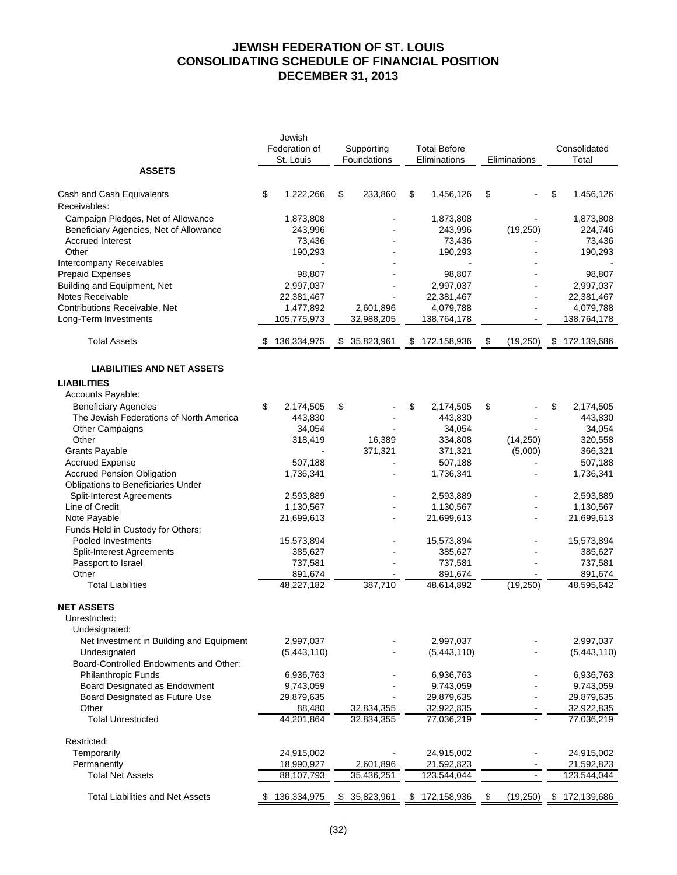# **JEWISH FEDERATION OF ST. LOUIS CONSOLIDATING SCHEDULE OF FINANCIAL POSITION DECEMBER 31, 2013**

| <b>ASSETS</b>                                                                | Jewish<br>Federation of<br>St. Louis |                          |    | Supporting<br>Foundations | <b>Total Before</b><br>Eliminations | Eliminations   | Consolidated<br>Total    |
|------------------------------------------------------------------------------|--------------------------------------|--------------------------|----|---------------------------|-------------------------------------|----------------|--------------------------|
|                                                                              |                                      |                          |    |                           |                                     |                |                          |
| Cash and Cash Equivalents<br>Receivables:                                    | \$                                   | 1,222,266                | \$ | 233,860                   | \$<br>1,456,126                     | \$             | \$<br>1,456,126          |
| Campaign Pledges, Net of Allowance<br>Beneficiary Agencies, Net of Allowance |                                      | 1,873,808<br>243,996     |    |                           | 1,873,808<br>243,996                | (19,250)       | 1,873,808<br>224,746     |
| <b>Accrued Interest</b><br>Other                                             |                                      | 73,436<br>190,293        |    |                           | 73,436<br>190,293                   |                | 73,436<br>190,293        |
| Intercompany Receivables                                                     |                                      |                          |    |                           |                                     |                |                          |
| <b>Prepaid Expenses</b>                                                      |                                      | 98,807                   |    |                           | 98,807                              |                | 98,807                   |
| Building and Equipment, Net<br><b>Notes Receivable</b>                       |                                      | 2,997,037<br>22,381,467  |    |                           | 2,997,037<br>22,381,467             |                | 2,997,037<br>22,381,467  |
| Contributions Receivable, Net                                                |                                      | 1,477,892                |    | 2,601,896                 | 4,079,788                           |                | 4,079,788                |
| Long-Term Investments                                                        |                                      | 105,775,973              |    | 32,988,205                | 138,764,178                         |                | 138,764,178              |
| <b>Total Assets</b>                                                          |                                      | 136,334,975              |    | \$ 35,823,961             | \$172,158,936                       | \$<br>(19,250) | \$172,139,686            |
| <b>LIABILITIES AND NET ASSETS</b>                                            |                                      |                          |    |                           |                                     |                |                          |
| <b>LIABILITIES</b>                                                           |                                      |                          |    |                           |                                     |                |                          |
| Accounts Payable:                                                            |                                      |                          |    |                           |                                     |                |                          |
| <b>Beneficiary Agencies</b>                                                  | \$                                   | 2,174,505                | \$ |                           | \$<br>2,174,505                     | \$             | \$<br>2,174,505          |
| The Jewish Federations of North America<br><b>Other Campaigns</b>            |                                      | 443,830<br>34,054        |    |                           | 443,830<br>34,054                   |                | 443,830<br>34,054        |
| Other                                                                        |                                      | 318,419                  |    | 16,389                    | 334,808                             | (14,250)       | 320,558                  |
| <b>Grants Payable</b>                                                        |                                      |                          |    | 371,321                   | 371,321                             | (5,000)        | 366,321                  |
| <b>Accrued Expense</b>                                                       |                                      | 507,188                  |    |                           | 507,188                             |                | 507,188                  |
| <b>Accrued Pension Obligation</b>                                            |                                      | 1,736,341                |    |                           | 1,736,341                           |                | 1,736,341                |
| Obligations to Beneficiaries Under                                           |                                      |                          |    |                           |                                     |                |                          |
| Split-Interest Agreements                                                    |                                      | 2,593,889                |    |                           | 2,593,889                           |                | 2,593,889                |
| Line of Credit                                                               |                                      | 1,130,567                |    |                           | 1,130,567                           |                | 1,130,567                |
| Note Payable                                                                 |                                      | 21,699,613               |    |                           | 21,699,613                          |                | 21,699,613               |
| Funds Held in Custody for Others:                                            |                                      |                          |    |                           |                                     |                |                          |
| Pooled Investments                                                           |                                      | 15,573,894               |    |                           | 15,573,894                          |                | 15,573,894               |
| Split-Interest Agreements                                                    |                                      | 385,627                  |    |                           | 385,627                             |                | 385,627                  |
| Passport to Israel                                                           |                                      | 737,581                  |    |                           | 737,581                             |                | 737,581                  |
| Other                                                                        |                                      | 891,674                  |    |                           | 891,674                             |                | 891,674                  |
| <b>Total Liabilities</b>                                                     |                                      | 48,227,182               |    | 387,710                   | 48,614,892                          | (19, 250)      | 48,595,642               |
| <b>NET ASSETS</b>                                                            |                                      |                          |    |                           |                                     |                |                          |
| Unrestricted:                                                                |                                      |                          |    |                           |                                     |                |                          |
| Undesignated:                                                                |                                      |                          |    |                           |                                     |                |                          |
| Net Investment in Building and Equipment<br>Undesignated                     |                                      | 2,997,037<br>(5,443,110) |    |                           | 2,997,037<br>(5,443,110)            |                | 2,997,037<br>(5,443,110) |
| Board-Controlled Endowments and Other:                                       |                                      |                          |    |                           |                                     |                |                          |
| Philanthropic Funds                                                          |                                      | 6,936,763                |    |                           | 6,936,763                           |                | 6,936,763                |
| Board Designated as Endowment                                                |                                      | 9,743,059                |    |                           | 9,743,059                           |                | 9,743,059                |
| Board Designated as Future Use                                               |                                      | 29,879,635               |    |                           | 29,879,635                          |                | 29,879,635               |
| Other                                                                        |                                      | 88,480                   |    | 32,834,355                | 32,922,835                          |                | 32,922,835               |
| <b>Total Unrestricted</b>                                                    |                                      | 44,201,864               |    | 32,834,355                | 77,036,219                          |                | 77,036,219               |
| Restricted:                                                                  |                                      |                          |    |                           |                                     |                |                          |
| Temporarily                                                                  |                                      | 24,915,002               |    |                           | 24,915,002                          |                | 24,915,002               |
| Permanently                                                                  |                                      | 18,990,927               |    | 2,601,896                 | 21,592,823                          |                | 21,592,823               |
| <b>Total Net Assets</b>                                                      |                                      | 88,107,793               |    | 35,436,251                | 123,544,044                         |                | 123,544,044              |
| <b>Total Liabilities and Net Assets</b>                                      | \$                                   | 136,334,975              |    | \$ 35,823,961             | \$<br>172,158,936                   | \$<br>(19,250) | \$<br>172,139,686        |